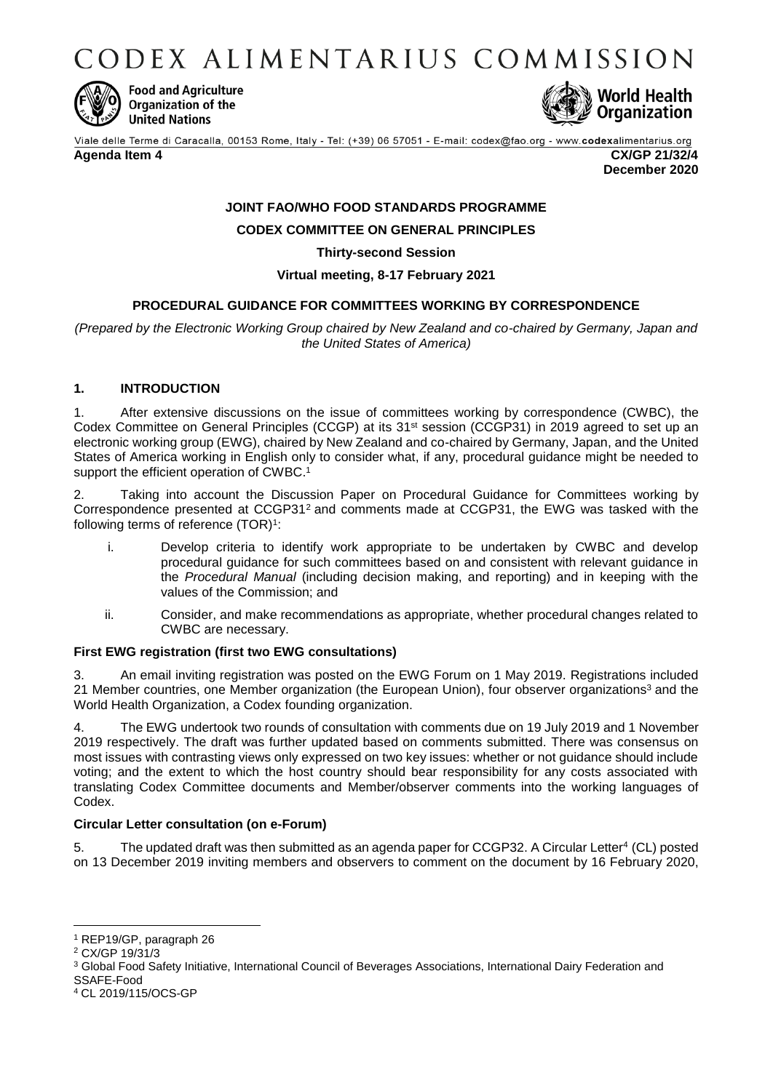CODEX ALIMENTARIUS COMMISSION



**Food and Agriculture** Organization of the **United Nations** 



Viale delle Terme di Caracalla, 00153 Rome, Italy - Tel: (+39) 06 57051 - E-mail: codex@fao.org - www.codexalimentarius.org

**Agenda Item 4 CX/GP 21/32/4**

**December 2020**

## **JOINT FAO/WHO FOOD STANDARDS PROGRAMME CODEX COMMITTEE ON GENERAL PRINCIPLES**

**Thirty-second Session**

## <span id="page-0-0"></span>**Virtual meeting, 8-17 February 2021**

## **PROCEDURAL GUIDANCE FOR COMMITTEES WORKING BY CORRESPONDENCE**

*(Prepared by the Electronic Working Group chaired by New Zealand and co-chaired by Germany, Japan and the United States of America)*

### **1. INTRODUCTION**

1. After extensive discussions on the issue of committees working by correspondence (CWBC), the Codex Committee on General Principles (CCGP) at its 31st session (CCGP31) in 2019 agreed to set up an electronic working group (EWG), chaired by New Zealand and co-chaired by Germany, Japan, and the United States of America working in English only to consider what, if any, procedural guidance might be needed to support the efficient operation of CWBC.<sup>1</sup>

2. Taking into account the Discussion Paper on Procedural Guidance for Committees working by Correspondence presented at CCGP31<sup>2</sup> and comments made at CCGP31, the EWG was tasked with the following terms of reference (TOR)<sup>[1](#page-0-0)</sup>:

- i. Develop criteria to identify work appropriate to be undertaken by CWBC and develop procedural guidance for such committees based on and consistent with relevant guidance in the *Procedural Manual* (including decision making, and reporting) and in keeping with the values of the Commission; and
- ii. Consider, and make recommendations as appropriate, whether procedural changes related to CWBC are necessary.

### **First EWG registration (first two EWG consultations)**

3. An email inviting registration was posted on the EWG Forum on 1 May 2019. Registrations included 21 Member countries, one Member organization (the European Union), four observer organizations<sup>3</sup> and the World Health Organization, a Codex founding organization.

4. The EWG undertook two rounds of consultation with comments due on 19 July 2019 and 1 November 2019 respectively. The draft was further updated based on comments submitted. There was consensus on most issues with contrasting views only expressed on two key issues: whether or not guidance should include voting; and the extent to which the host country should bear responsibility for any costs associated with translating Codex Committee documents and Member/observer comments into the working languages of Codex.

### **Circular Letter consultation (on e-Forum)**

5. The updated draft was then submitted as an agenda paper for CCGP32. A Circular Letter<sup>4</sup> (CL) posted on 13 December 2019 inviting members and observers to comment on the document by 16 February 2020,

 $\overline{a}$ 

<sup>1</sup> REP19/GP, paragraph 26

<sup>2</sup> [CX/GP 19/31/3](http://www.fao.org/fao-who-codexalimentarius/sh-proxy/en/?lnk=1&url=https%253A%252F%252Fworkspace.fao.org%252Fsites%252Fcodex%252FMeetings%252FCX-716-31%252FWD%252Fgp31_03e.pdf)

<sup>3</sup> Global Food Safety Initiative, International Council of Beverages Associations, International Dairy Federation and SSAFE-Food

<sup>4</sup> CL 2019/115/OCS-GP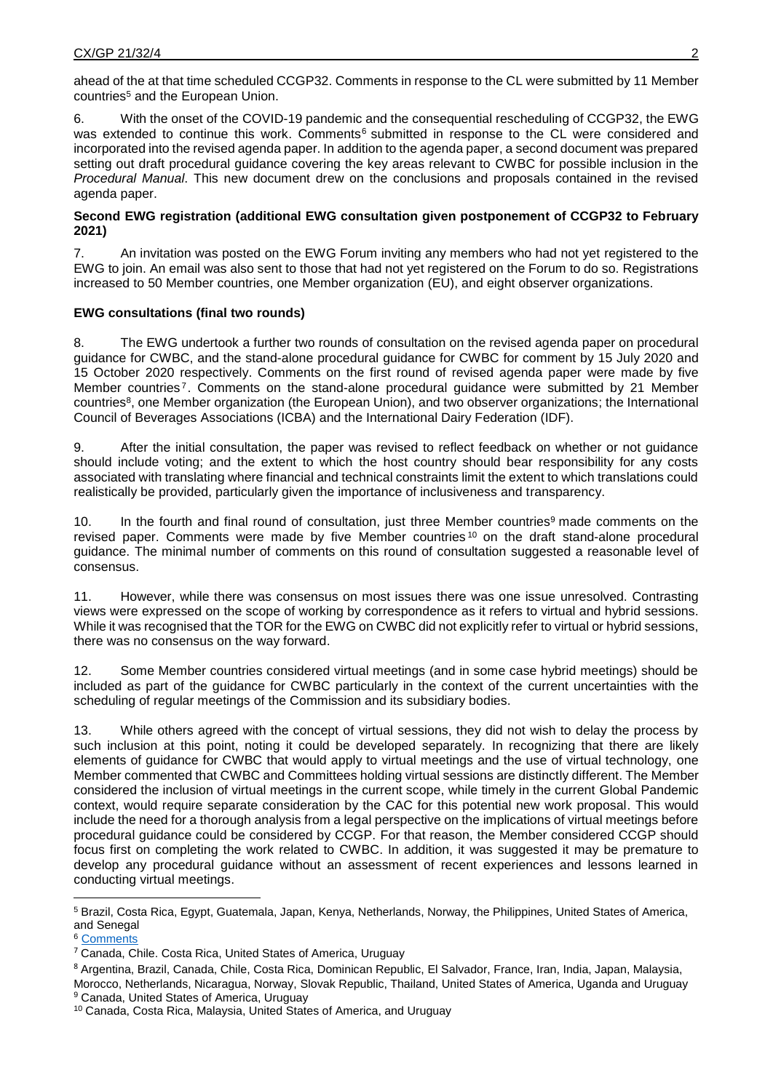ahead of the at that time scheduled CCGP32. Comments in response to the CL were submitted by 11 Member countries<sup>5</sup> and the European Union.

6. With the onset of the COVID-19 pandemic and the consequential rescheduling of CCGP32, the EWG was extended to continue this work. Comments<sup>6</sup> submitted in response to the CL were considered and incorporated into the revised agenda paper. In addition to the agenda paper, a second document was prepared setting out draft procedural guidance covering the key areas relevant to CWBC for possible inclusion in the *Procedural Manual*. This new document drew on the conclusions and proposals contained in the revised agenda paper.

### **Second EWG registration (additional EWG consultation given postponement of CCGP32 to February 2021)**

7. An invitation was posted on the EWG Forum inviting any members who had not yet registered to the EWG to join. An email was also sent to those that had not yet registered on the Forum to do so. Registrations increased to 50 Member countries, one Member organization (EU), and eight observer organizations.

### **EWG consultations (final two rounds)**

8. The EWG undertook a further two rounds of consultation on the revised agenda paper on procedural guidance for CWBC, and the stand-alone procedural guidance for CWBC for comment by 15 July 2020 and 15 October 2020 respectively. Comments on the first round of revised agenda paper were made by five Member countries<sup>7</sup>. Comments on the stand-alone procedural guidance were submitted by 21 Member countries<sup>8</sup>, one Member organization (the European Union), and two observer organizations; the International Council of Beverages Associations (ICBA) and the International Dairy Federation (IDF).

9. After the initial consultation, the paper was revised to reflect feedback on whether or not guidance should include voting; and the extent to which the host country should bear responsibility for any costs associated with translating where financial and technical constraints limit the extent to which translations could realistically be provided, particularly given the importance of inclusiveness and transparency.

10. In the fourth and final round of consultation, just three Member countries<sup>9</sup> made comments on the revised paper. Comments were made by five Member countries<sup>10</sup> on the draft stand-alone procedural guidance. The minimal number of comments on this round of consultation suggested a reasonable level of consensus.

11. However, while there was consensus on most issues there was one issue unresolved. Contrasting views were expressed on the scope of working by correspondence as it refers to virtual and hybrid sessions. While it was recognised that the TOR for the EWG on CWBC did not explicitly refer to virtual or hybrid sessions, there was no consensus on the way forward.

12. Some Member countries considered virtual meetings (and in some case hybrid meetings) should be included as part of the guidance for CWBC particularly in the context of the current uncertainties with the scheduling of regular meetings of the Commission and its subsidiary bodies.

13. While others agreed with the concept of virtual sessions, they did not wish to delay the process by such inclusion at this point, noting it could be developed separately. In recognizing that there are likely elements of guidance for CWBC that would apply to virtual meetings and the use of virtual technology, one Member commented that CWBC and Committees holding virtual sessions are distinctly different. The Member considered the inclusion of virtual meetings in the current scope, while timely in the current Global Pandemic context, would require separate consideration by the CAC for this potential new work proposal. This would include the need for a thorough analysis from a legal perspective on the implications of virtual meetings before procedural guidance could be considered by CCGP. For that reason, the Member considered CCGP should focus first on completing the work related to CWBC. In addition, it was suggested it may be premature to develop any procedural guidance without an assessment of recent experiences and lessons learned in conducting virtual meetings.

 $\overline{a}$ 

<sup>5</sup> Brazil, Costa Rica, Egypt, Guatemala, Japan, Kenya, Netherlands, Norway, the Philippines, United States of America, and Senegal

<sup>6</sup> [Comments](http://www.fao.org/fao-who-codexalimentarius/sh-proxy/en/?lnk=1&url=https%253A%252F%252Fworkspace.fao.org%252Fsites%252Fcodex%252FMeetings%252FCX-716-32%252FWD%252Fgp32_04_Add1e.pdf)

<sup>7</sup> Canada, Chile. Costa Rica, United States of America, Uruguay

<sup>8</sup> Argentina, Brazil, Canada, Chile, Costa Rica, Dominican Republic, El Salvador, France, Iran, India, Japan, Malaysia, Morocco, Netherlands, Nicaragua, Norway, Slovak Republic, Thailand, United States of America, Uganda and Uruguay <sup>9</sup> Canada, United States of America, Uruguay

<sup>&</sup>lt;sup>10</sup> Canada, Costa Rica, Malaysia, United States of America, and Uruguay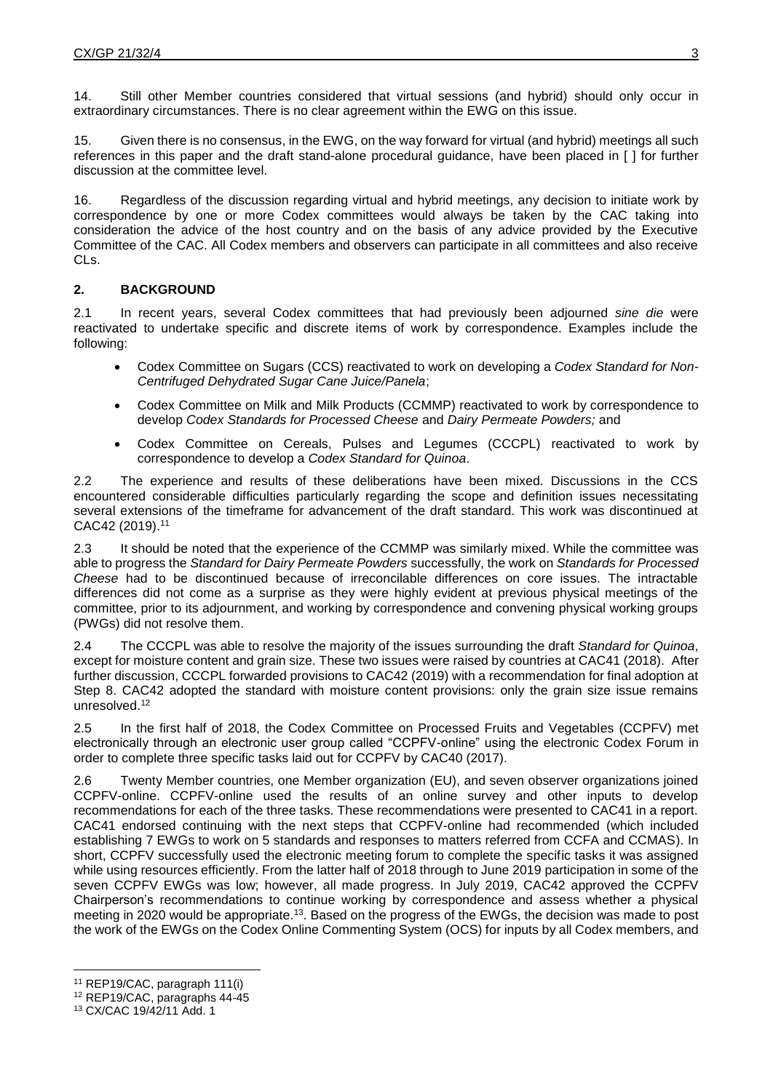14. Still other Member countries considered that virtual sessions (and hybrid) should only occur in extraordinary circumstances. There is no clear agreement within the EWG on this issue.

15. Given there is no consensus, in the EWG, on the way forward for virtual (and hybrid) meetings all such references in this paper and the draft stand-alone procedural guidance, have been placed in [ ] for further discussion at the committee level.

16. Regardless of the discussion regarding virtual and hybrid meetings, any decision to initiate work by correspondence by one or more Codex committees would always be taken by the CAC taking into consideration the advice of the host country and on the basis of any advice provided by the Executive Committee of the CAC. All Codex members and observers can participate in all committees and also receive CLs.

## **2. BACKGROUND**

2.1 In recent years, several Codex committees that had previously been adjourned *sine die* were reactivated to undertake specific and discrete items of work by correspondence. Examples include the following:

- Codex Committee on Sugars (CCS) reactivated to work on developing a *Codex Standard for Non-Centrifuged Dehydrated Sugar Cane Juice/Panela*;
- Codex Committee on Milk and Milk Products (CCMMP) reactivated to work by correspondence to develop *Codex Standards for Processed Cheese* and *Dairy Permeate Powders;* and
- Codex Committee on Cereals, Pulses and Legumes (CCCPL) reactivated to work by correspondence to develop a *Codex Standard for Quinoa*.

2.2 The experience and results of these deliberations have been mixed. Discussions in the CCS encountered considerable difficulties particularly regarding the scope and definition issues necessitating several extensions of the timeframe for advancement of the draft standard. This work was discontinued at CAC42 (2019). 11

2.3 It should be noted that the experience of the CCMMP was similarly mixed. While the committee was able to progress the *Standard for Dairy Permeate Powders* successfully, the work on *Standards for Processed Cheese* had to be discontinued because of irreconcilable differences on core issues. The intractable differences did not come as a surprise as they were highly evident at previous physical meetings of the committee, prior to its adjournment, and working by correspondence and convening physical working groups (PWGs) did not resolve them.

2.4 The CCCPL was able to resolve the majority of the issues surrounding the draft *Standard for Quinoa*, except for moisture content and grain size. These two issues were raised by countries at CAC41 (2018). After further discussion, CCCPL forwarded provisions to CAC42 (2019) with a recommendation for final adoption at Step 8. CAC42 adopted the standard with moisture content provisions: only the grain size issue remains unresolved. 12

2.5 In the first half of 2018, the Codex Committee on Processed Fruits and Vegetables (CCPFV) met electronically through an electronic user group called "CCPFV-online" using the electronic Codex Forum in order to complete three specific tasks laid out for CCPFV by CAC40 (2017).

2.6 Twenty Member countries, one Member organization (EU), and seven observer organizations joined CCPFV-online. CCPFV-online used the results of an online survey and other inputs to develop recommendations for each of the three tasks. These recommendations were presented to CAC41 in a report. CAC41 endorsed continuing with the next steps that CCPFV-online had recommended (which included establishing 7 EWGs to work on 5 standards and responses to matters referred from CCFA and CCMAS). In short, CCPFV successfully used the electronic meeting forum to complete the specific tasks it was assigned while using resources efficiently. From the latter half of 2018 through to June 2019 participation in some of the seven CCPFV EWGs was low; however, all made progress. In July 2019, CAC42 approved the CCPFV Chairperson's recommendations to continue working by correspondence and assess whether a physical meeting in 2020 would be appropriate.<sup>13</sup>. Based on the progress of the EWGs, the decision was made to post the work of the EWGs on the Codex Online Commenting System (OCS) for inputs by all Codex members, and

 $\overline{a}$ <sup>11</sup> REP19/CAC, paragraph 111(i)

<sup>12</sup> REP19/CAC, paragraphs 44-45

<sup>13</sup> CX/CAC 19/42/11 Add. 1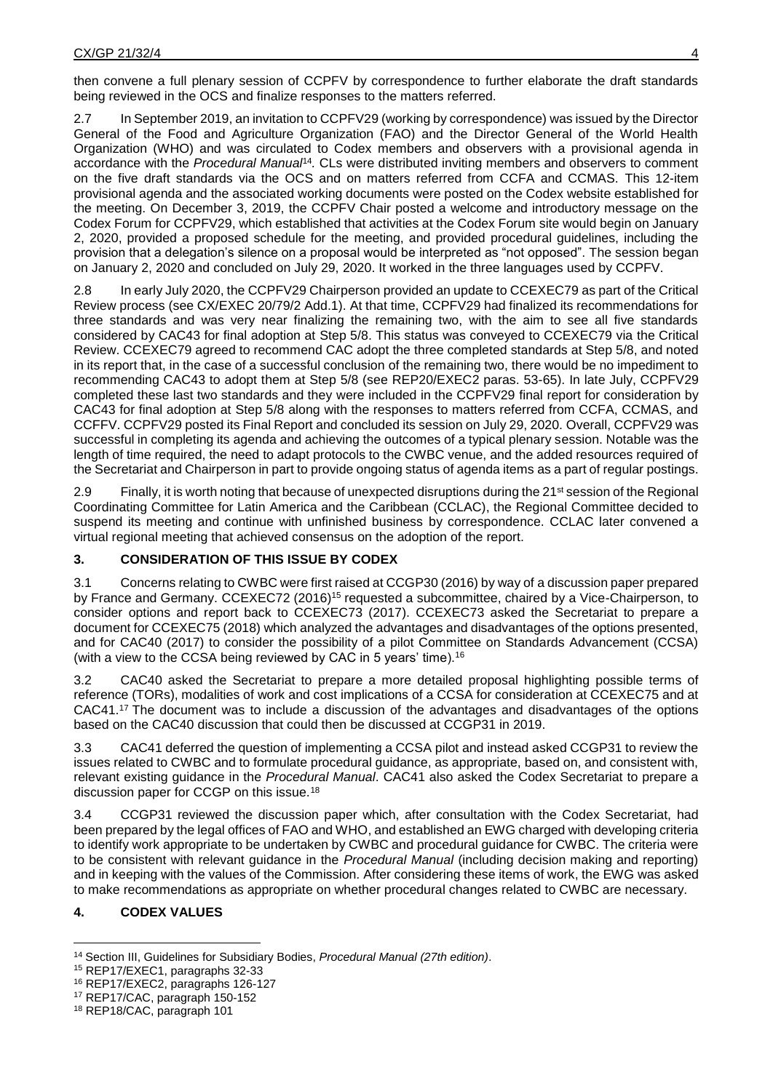then convene a full plenary session of CCPFV by correspondence to further elaborate the draft standards being reviewed in the OCS and finalize responses to the matters referred.

2.7 In September 2019, an invitation to CCPFV29 (working by correspondence) was issued by the Director General of the Food and Agriculture Organization (FAO) and the Director General of the World Health Organization (WHO) and was circulated to Codex members and observers with a provisional agenda in accordance with the *Procedural Manual*<sup>14</sup> *.* CLs were distributed inviting members and observers to comment on the five draft standards via the OCS and on matters referred from CCFA and CCMAS. This 12-item provisional agenda and the associated working documents were posted on the Codex website established for the meeting. On December 3, 2019, the CCPFV Chair posted a welcome and introductory message on the Codex Forum for CCPFV29, which established that activities at the Codex Forum site would begin on January 2, 2020, provided a proposed schedule for the meeting, and provided procedural guidelines, including the provision that a delegation's silence on a proposal would be interpreted as "not opposed". The session began on January 2, 2020 and concluded on July 29, 2020. It worked in the three languages used by CCPFV.

2.8 In early July 2020, the CCPFV29 Chairperson provided an update to CCEXEC79 as part of the Critical Review process (see CX/EXEC 20/79/2 Add.1). At that time, CCPFV29 had finalized its recommendations for three standards and was very near finalizing the remaining two, with the aim to see all five standards considered by CAC43 for final adoption at Step 5/8. This status was conveyed to CCEXEC79 via the Critical Review. CCEXEC79 agreed to recommend CAC adopt the three completed standards at Step 5/8, and noted in its report that, in the case of a successful conclusion of the remaining two, there would be no impediment to recommending CAC43 to adopt them at Step 5/8 (see REP20/EXEC2 paras. 53-65). In late July, CCPFV29 completed these last two standards and they were included in the CCPFV29 final report for consideration by CAC43 for final adoption at Step 5/8 along with the responses to matters referred from CCFA, CCMAS, and CCFFV. CCPFV29 posted its Final Report and concluded its session on July 29, 2020. Overall, CCPFV29 was successful in completing its agenda and achieving the outcomes of a typical plenary session. Notable was the length of time required, the need to adapt protocols to the CWBC venue, and the added resources required of the Secretariat and Chairperson in part to provide ongoing status of agenda items as a part of regular postings.

2.9 Finally, it is worth noting that because of unexpected disruptions during the 21<sup>st</sup> session of the Regional Coordinating Committee for Latin America and the Caribbean (CCLAC), the Regional Committee decided to suspend its meeting and continue with unfinished business by correspondence. CCLAC later convened a virtual regional meeting that achieved consensus on the adoption of the report.

# **3. CONSIDERATION OF THIS ISSUE BY CODEX**

3.1 Concerns relating to CWBC were first raised at CCGP30 (2016) by way of a discussion paper prepared by France and Germany. CCEXEC72 (2016)<sup>15</sup> requested a subcommittee, chaired by a Vice-Chairperson, to consider options and report back to CCEXEC73 (2017). CCEXEC73 asked the Secretariat to prepare a document for CCEXEC75 (2018) which analyzed the advantages and disadvantages of the options presented, and for CAC40 (2017) to consider the possibility of a pilot Committee on Standards Advancement (CCSA) (with a view to the CCSA being reviewed by CAC in 5 years' time).<sup>16</sup>

3.2 CAC40 asked the Secretariat to prepare a more detailed proposal highlighting possible terms of reference (TORs), modalities of work and cost implications of a CCSA for consideration at CCEXEC75 and at CAC41.<sup>17</sup> The document was to include a discussion of the advantages and disadvantages of the options based on the CAC40 discussion that could then be discussed at CCGP31 in 2019.

3.3 CAC41 deferred the question of implementing a CCSA pilot and instead asked CCGP31 to review the issues related to CWBC and to formulate procedural guidance, as appropriate, based on, and consistent with, relevant existing guidance in the *Procedural Manual*. CAC41 also asked the Codex Secretariat to prepare a discussion paper for CCGP on this issue.<sup>18</sup>

3.4 CCGP31 reviewed the discussion paper which, after consultation with the Codex Secretariat, had been prepared by the legal offices of FAO and WHO, and established an EWG charged with developing criteria to identify work appropriate to be undertaken by CWBC and procedural guidance for CWBC. The criteria were to be consistent with relevant guidance in the *Procedural Manual* (including decision making and reporting) and in keeping with the values of the Commission. After considering these items of work, the EWG was asked to make recommendations as appropriate on whether procedural changes related to CWBC are necessary.

# **4. CODEX VALUES**

 $\overline{a}$ <sup>14</sup> Section III, Guidelines for Subsidiary Bodies, *Procedural Manual (27th edition)*.

<sup>15</sup> REP17/EXEC1, paragraphs 32-33

<sup>16</sup> REP17/EXEC2, paragraphs 126-127

<sup>17</sup> REP17/CAC, paragraph 150-152

<sup>18</sup> REP18/CAC, paragraph 101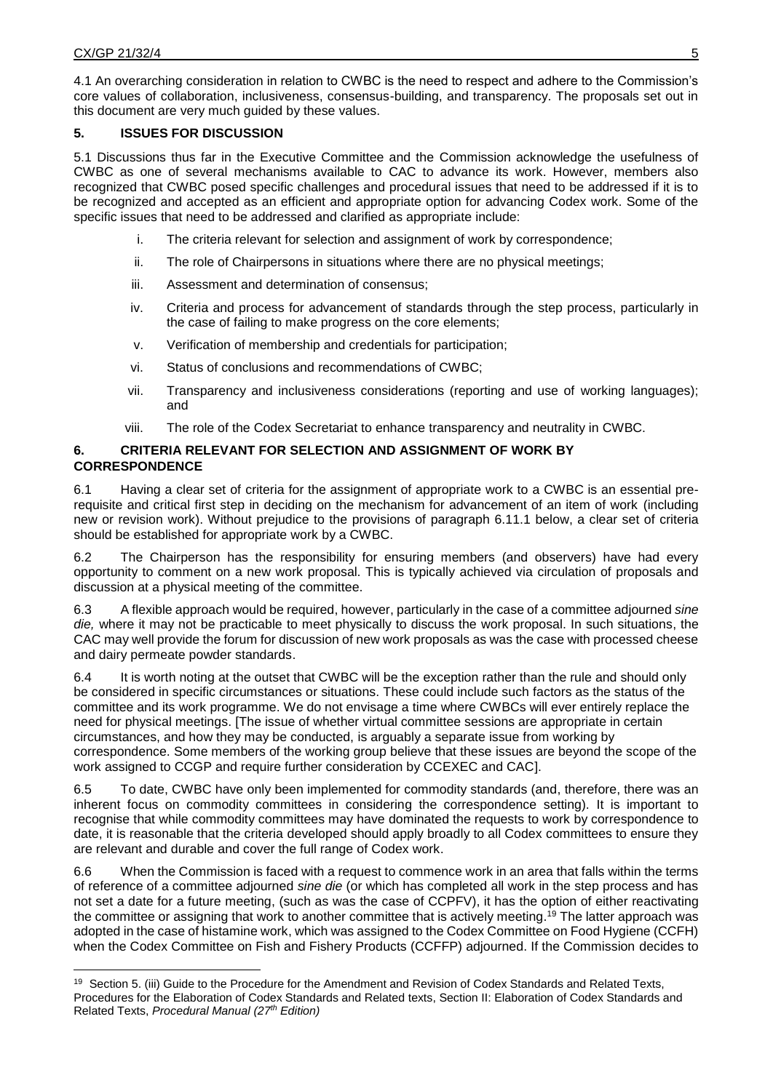4.1 An overarching consideration in relation to CWBC is the need to respect and adhere to the Commission's core values of collaboration, inclusiveness, consensus-building, and transparency. The proposals set out in this document are very much guided by these values.

## **5. ISSUES FOR DISCUSSION**

5.1 Discussions thus far in the Executive Committee and the Commission acknowledge the usefulness of CWBC as one of several mechanisms available to CAC to advance its work. However, members also recognized that CWBC posed specific challenges and procedural issues that need to be addressed if it is to be recognized and accepted as an efficient and appropriate option for advancing Codex work. Some of the specific issues that need to be addressed and clarified as appropriate include:

- i. The criteria relevant for selection and assignment of work by correspondence;
- ii. The role of Chairpersons in situations where there are no physical meetings;
- iii. Assessment and determination of consensus;
- iv. Criteria and process for advancement of standards through the step process, particularly in the case of failing to make progress on the core elements;
- v. Verification of membership and credentials for participation;
- vi. Status of conclusions and recommendations of CWBC;
- vii. Transparency and inclusiveness considerations (reporting and use of working languages); and
- viii. The role of the Codex Secretariat to enhance transparency and neutrality in CWBC.

## **6. CRITERIA RELEVANT FOR SELECTION AND ASSIGNMENT OF WORK BY CORRESPONDENCE**

6.1 Having a clear set of criteria for the assignment of appropriate work to a CWBC is an essential prerequisite and critical first step in deciding on the mechanism for advancement of an item of work (including new or revision work). Without prejudice to the provisions of paragraph 6.11.1 below, a clear set of criteria should be established for appropriate work by a CWBC.

6.2 The Chairperson has the responsibility for ensuring members (and observers) have had every opportunity to comment on a new work proposal. This is typically achieved via circulation of proposals and discussion at a physical meeting of the committee.

6.3 A flexible approach would be required, however, particularly in the case of a committee adjourned *sine die,* where it may not be practicable to meet physically to discuss the work proposal. In such situations, the CAC may well provide the forum for discussion of new work proposals as was the case with processed cheese and dairy permeate powder standards.

6.4 It is worth noting at the outset that CWBC will be the exception rather than the rule and should only be considered in specific circumstances or situations. These could include such factors as the status of the committee and its work programme. We do not envisage a time where CWBCs will ever entirely replace the need for physical meetings. [The issue of whether virtual committee sessions are appropriate in certain circumstances, and how they may be conducted, is arguably a separate issue from working by correspondence. Some members of the working group believe that these issues are beyond the scope of the work assigned to CCGP and require further consideration by CCEXEC and CAC].

6.5 To date, CWBC have only been implemented for commodity standards (and, therefore, there was an inherent focus on commodity committees in considering the correspondence setting). It is important to recognise that while commodity committees may have dominated the requests to work by correspondence to date, it is reasonable that the criteria developed should apply broadly to all Codex committees to ensure they are relevant and durable and cover the full range of Codex work.

6.6 When the Commission is faced with a request to commence work in an area that falls within the terms of reference of a committee adjourned *sine die* (or which has completed all work in the step process and has not set a date for a future meeting, (such as was the case of CCPFV), it has the option of either reactivating the committee or assigning that work to another committee that is actively meeting. <sup>19</sup> The latter approach was adopted in the case of histamine work, which was assigned to the Codex Committee on Food Hygiene (CCFH) when the Codex Committee on Fish and Fishery Products (CCFFP) adjourned. If the Commission decides to

 $\overline{a}$ <sup>19</sup> Section 5. (iii) Guide to the Procedure for the Amendment and Revision of Codex Standards and Related Texts, Procedures for the Elaboration of Codex Standards and Related texts, Section II: Elaboration of Codex Standards and Related Texts, *Procedural Manual (27th Edition)*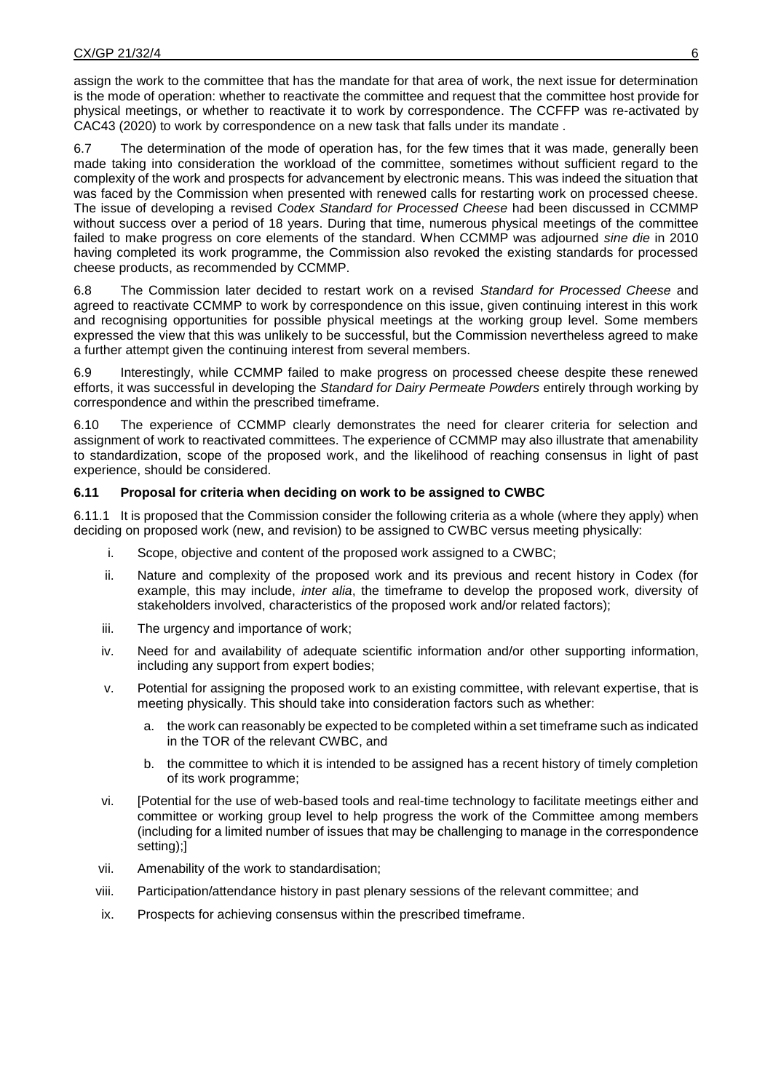assign the work to the committee that has the mandate for that area of work, the next issue for determination is the mode of operation: whether to reactivate the committee and request that the committee host provide for physical meetings, or whether to reactivate it to work by correspondence. The CCFFP was re-activated by CAC43 (2020) to work by correspondence on a new task that falls under its mandate .

6.7 The determination of the mode of operation has, for the few times that it was made, generally been made taking into consideration the workload of the committee, sometimes without sufficient regard to the complexity of the work and prospects for advancement by electronic means. This was indeed the situation that was faced by the Commission when presented with renewed calls for restarting work on processed cheese. The issue of developing a revised *Codex Standard for Processed Cheese* had been discussed in CCMMP without success over a period of 18 years. During that time, numerous physical meetings of the committee failed to make progress on core elements of the standard. When CCMMP was adjourned *sine die* in 2010 having completed its work programme, the Commission also revoked the existing standards for processed cheese products, as recommended by CCMMP.

6.8 The Commission later decided to restart work on a revised *Standard for Processed Cheese* and agreed to reactivate CCMMP to work by correspondence on this issue, given continuing interest in this work and recognising opportunities for possible physical meetings at the working group level. Some members expressed the view that this was unlikely to be successful, but the Commission nevertheless agreed to make a further attempt given the continuing interest from several members.

6.9 Interestingly, while CCMMP failed to make progress on processed cheese despite these renewed efforts, it was successful in developing the *Standard for Dairy Permeate Powders* entirely through working by correspondence and within the prescribed timeframe.

6.10 The experience of CCMMP clearly demonstrates the need for clearer criteria for selection and assignment of work to reactivated committees. The experience of CCMMP may also illustrate that amenability to standardization, scope of the proposed work, and the likelihood of reaching consensus in light of past experience, should be considered.

## **6.11 Proposal for criteria when deciding on work to be assigned to CWBC**

6.11.1 It is proposed that the Commission consider the following criteria as a whole (where they apply) when deciding on proposed work (new, and revision) to be assigned to CWBC versus meeting physically:

- i. Scope, objective and content of the proposed work assigned to a CWBC;
- ii. Nature and complexity of the proposed work and its previous and recent history in Codex (for example, this may include, *inter alia*, the timeframe to develop the proposed work, diversity of stakeholders involved, characteristics of the proposed work and/or related factors);
- iii. The urgency and importance of work;
- iv. Need for and availability of adequate scientific information and/or other supporting information, including any support from expert bodies;
- v. Potential for assigning the proposed work to an existing committee, with relevant expertise, that is meeting physically. This should take into consideration factors such as whether:
	- a. the work can reasonably be expected to be completed within a set timeframe such as indicated in the TOR of the relevant CWBC, and
	- b. the committee to which it is intended to be assigned has a recent history of timely completion of its work programme;
- vi. [Potential for the use of web-based tools and real-time technology to facilitate meetings either and committee or working group level to help progress the work of the Committee among members (including for a limited number of issues that may be challenging to manage in the correspondence setting);]
- vii. Amenability of the work to standardisation;
- viii. Participation/attendance history in past plenary sessions of the relevant committee; and
- ix. Prospects for achieving consensus within the prescribed timeframe.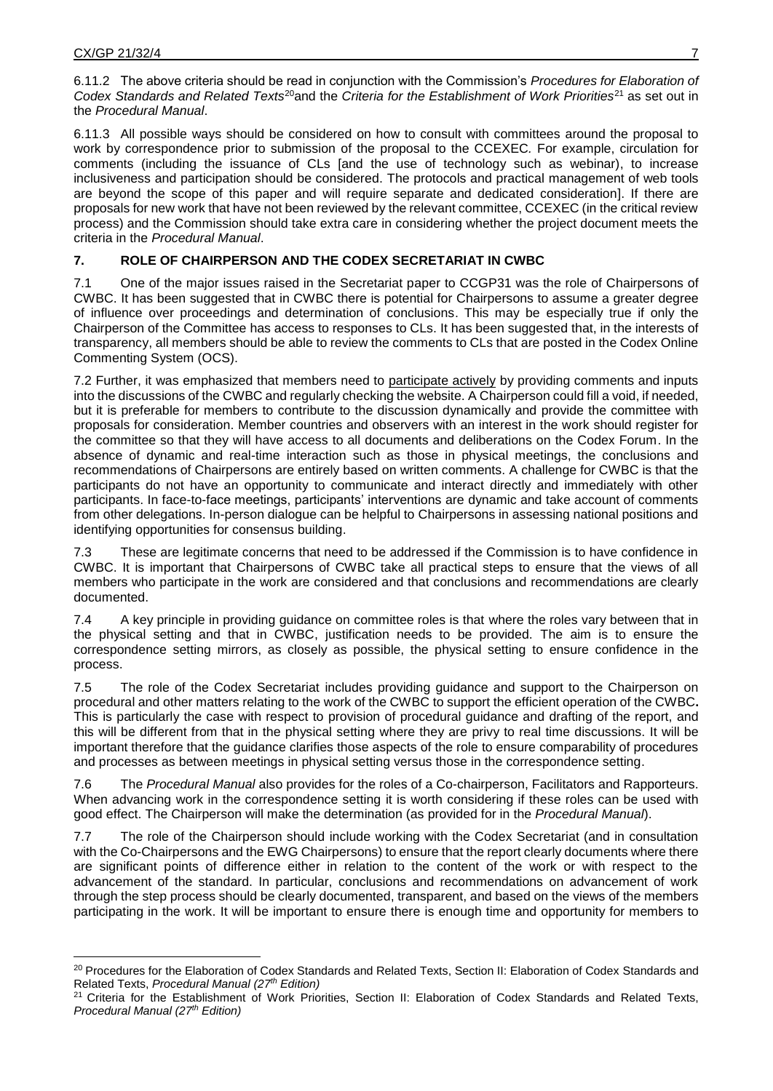6.11.3 All possible ways should be considered on how to consult with committees around the proposal to work by correspondence prior to submission of the proposal to the CCEXEC*.* For example, circulation for comments (including the issuance of CLs [and the use of technology such as webinar), to increase inclusiveness and participation should be considered. The protocols and practical management of web tools are beyond the scope of this paper and will require separate and dedicated consideration]. If there are proposals for new work that have not been reviewed by the relevant committee, CCEXEC (in the critical review process) and the Commission should take extra care in considering whether the project document meets the criteria in the *Procedural Manual*.

# **7. ROLE OF CHAIRPERSON AND THE CODEX SECRETARIAT IN CWBC**

7.1 One of the major issues raised in the Secretariat paper to CCGP31 was the role of Chairpersons of CWBC. It has been suggested that in CWBC there is potential for Chairpersons to assume a greater degree of influence over proceedings and determination of conclusions. This may be especially true if only the Chairperson of the Committee has access to responses to CLs. It has been suggested that, in the interests of transparency, all members should be able to review the comments to CLs that are posted in the Codex Online Commenting System (OCS).

7.2 Further, it was emphasized that members need to participate actively by providing comments and inputs into the discussions of the CWBC and regularly checking the website. A Chairperson could fill a void, if needed, but it is preferable for members to contribute to the discussion dynamically and provide the committee with proposals for consideration. Member countries and observers with an interest in the work should register for the committee so that they will have access to all documents and deliberations on the Codex Forum. In the absence of dynamic and real-time interaction such as those in physical meetings, the conclusions and recommendations of Chairpersons are entirely based on written comments. A challenge for CWBC is that the participants do not have an opportunity to communicate and interact directly and immediately with other participants. In face-to-face meetings, participants' interventions are dynamic and take account of comments from other delegations. In-person dialogue can be helpful to Chairpersons in assessing national positions and identifying opportunities for consensus building.

7.3 These are legitimate concerns that need to be addressed if the Commission is to have confidence in CWBC. It is important that Chairpersons of CWBC take all practical steps to ensure that the views of all members who participate in the work are considered and that conclusions and recommendations are clearly documented.

7.4 A key principle in providing guidance on committee roles is that where the roles vary between that in the physical setting and that in CWBC, justification needs to be provided. The aim is to ensure the correspondence setting mirrors, as closely as possible, the physical setting to ensure confidence in the process.

7.5 The role of the Codex Secretariat includes providing guidance and support to the Chairperson on procedural and other matters relating to the work of the CWBC to support the efficient operation of the CWBC**.** This is particularly the case with respect to provision of procedural guidance and drafting of the report, and this will be different from that in the physical setting where they are privy to real time discussions. It will be important therefore that the guidance clarifies those aspects of the role to ensure comparability of procedures and processes as between meetings in physical setting versus those in the correspondence setting.

7.6 The *Procedural Manual* also provides for the roles of a Co-chairperson, Facilitators and Rapporteurs. When advancing work in the correspondence setting it is worth considering if these roles can be used with good effect. The Chairperson will make the determination (as provided for in the *Procedural Manual*).

7.7 The role of the Chairperson should include working with the Codex Secretariat (and in consultation with the Co-Chairpersons and the EWG Chairpersons) to ensure that the report clearly documents where there are significant points of difference either in relation to the content of the work or with respect to the advancement of the standard. In particular, conclusions and recommendations on advancement of work through the step process should be clearly documented, transparent, and based on the views of the members participating in the work. It will be important to ensure there is enough time and opportunity for members to

 $\ddot{\phantom{a}}$ <sup>20</sup> Procedures for the Elaboration of Codex Standards and Related Texts, Section II: Elaboration of Codex Standards and Related Texts, *Procedural Manual (27th Edition)*

<sup>&</sup>lt;sup>21</sup> Criteria for the Establishment of Work Priorities, Section II: Elaboration of Codex Standards and Related Texts, *Procedural Manual (27th Edition)*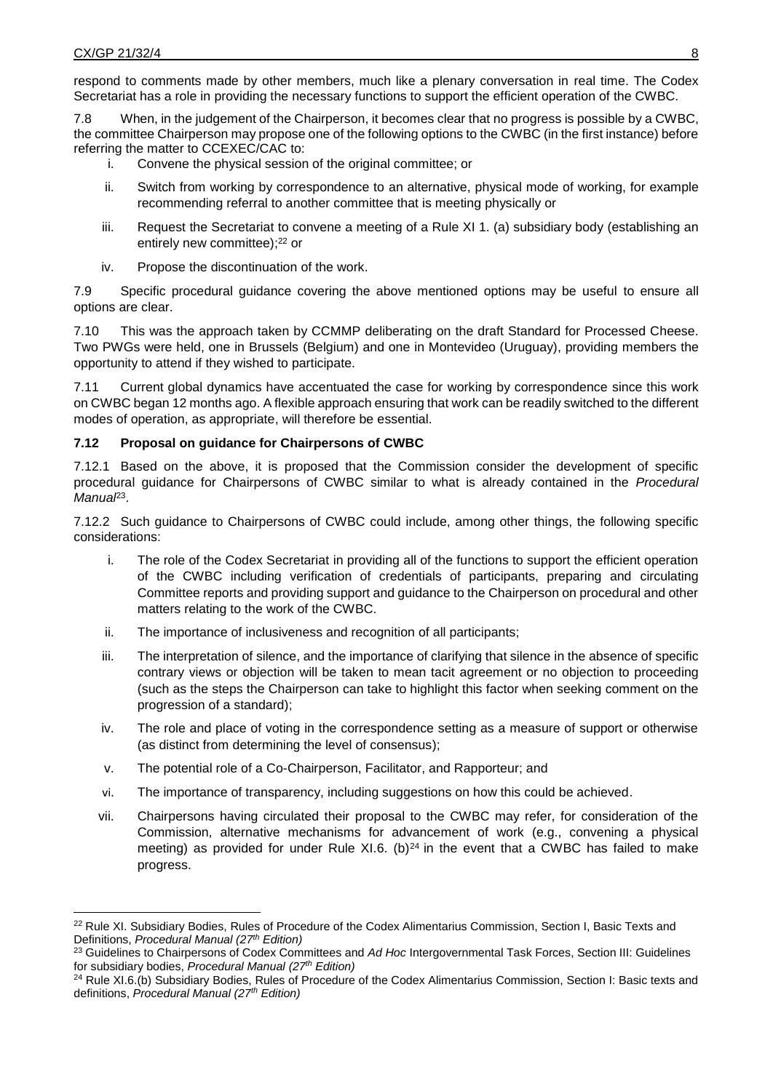$\overline{a}$ 

respond to comments made by other members, much like a plenary conversation in real time. The Codex Secretariat has a role in providing the necessary functions to support the efficient operation of the CWBC.

7.8 When, in the judgement of the Chairperson, it becomes clear that no progress is possible by a CWBC, the committee Chairperson may propose one of the following options to the CWBC (in the first instance) before referring the matter to CCEXEC/CAC to:

- i. Convene the physical session of the original committee; or
- ii. Switch from working by correspondence to an alternative, physical mode of working, for example recommending referral to another committee that is meeting physically or
- iii. Request the Secretariat to convene a meeting of a Rule XI 1. (a) subsidiary body (establishing an entirely new committee); <sup>22</sup> or
- iv. Propose the discontinuation of the work.

7.9 Specific procedural guidance covering the above mentioned options may be useful to ensure all options are clear.

7.10 This was the approach taken by CCMMP deliberating on the draft Standard for Processed Cheese. Two PWGs were held, one in Brussels (Belgium) and one in Montevideo (Uruguay), providing members the opportunity to attend if they wished to participate.

7.11 Current global dynamics have accentuated the case for working by correspondence since this work on CWBC began 12 months ago. A flexible approach ensuring that work can be readily switched to the different modes of operation, as appropriate, will therefore be essential.

### **7.12 Proposal on guidance for Chairpersons of CWBC**

7.12.1 Based on the above, it is proposed that the Commission consider the development of specific procedural guidance for Chairpersons of CWBC similar to what is already contained in the *Procedural*  Manua<sup>p<sub>3</sub></sup>.

7.12.2 Such guidance to Chairpersons of CWBC could include, among other things, the following specific considerations:

- i. The role of the Codex Secretariat in providing all of the functions to support the efficient operation of the CWBC including verification of credentials of participants, preparing and circulating Committee reports and providing support and guidance to the Chairperson on procedural and other matters relating to the work of the CWBC.
- ii. The importance of inclusiveness and recognition of all participants;
- iii. The interpretation of silence, and the importance of clarifying that silence in the absence of specific contrary views or objection will be taken to mean tacit agreement or no objection to proceeding (such as the steps the Chairperson can take to highlight this factor when seeking comment on the progression of a standard);
- iv. The role and place of voting in the correspondence setting as a measure of support or otherwise (as distinct from determining the level of consensus);
- v. The potential role of a Co-Chairperson, Facilitator, and Rapporteur; and
- vi. The importance of transparency, including suggestions on how this could be achieved.
- vii. Chairpersons having circulated their proposal to the CWBC may refer, for consideration of the Commission, alternative mechanisms for advancement of work (e.g., convening a physical meeting) as provided for under Rule XI.6. (b) $^{24}$  in the event that a CWBC has failed to make progress.

<sup>&</sup>lt;sup>22</sup> Rule XI. Subsidiary Bodies, Rules of Procedure of the Codex Alimentarius Commission, Section I, Basic Texts and Definitions, *Procedural Manual (27th Edition)*

<sup>23</sup> Guidelines to Chairpersons of Codex Committees and *Ad Hoc* Intergovernmental Task Forces, Section III: Guidelines for subsidiary bodies, *Procedural Manual (27th Edition)*

<sup>&</sup>lt;sup>24</sup> Rule XI.6.(b) Subsidiary Bodies, Rules of Procedure of the Codex Alimentarius Commission, Section I: Basic texts and definitions, *Procedural Manual (27th Edition)*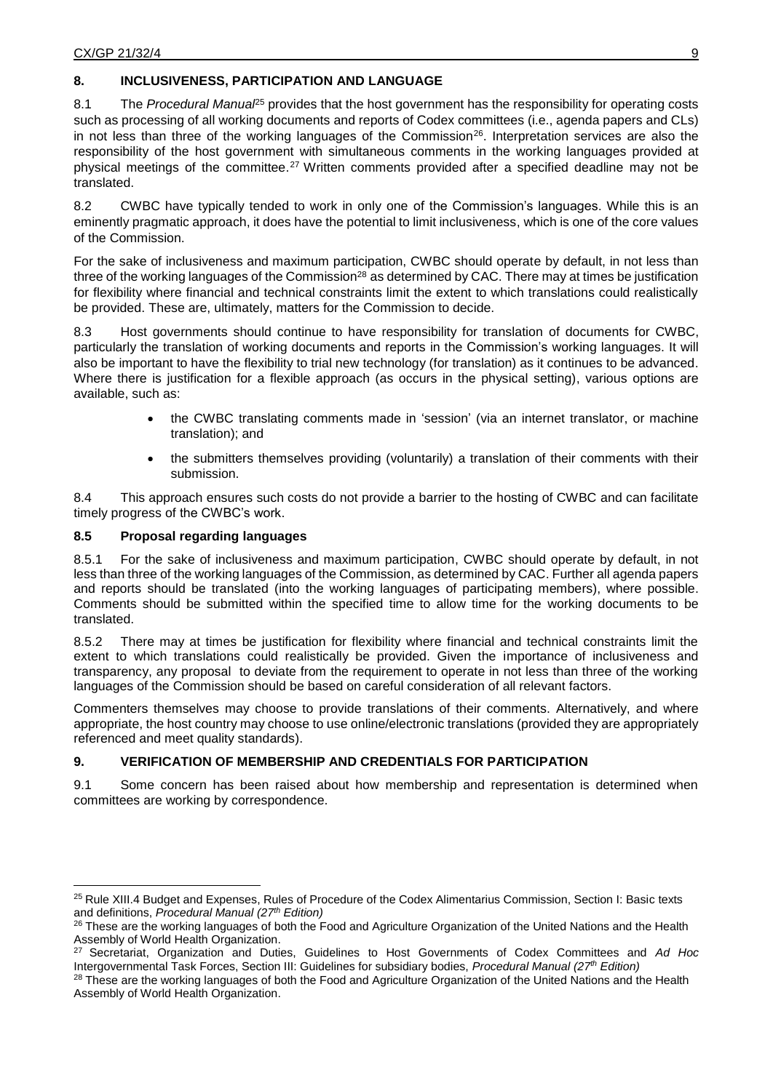## **8. INCLUSIVENESS, PARTICIPATION AND LANGUAGE**

8.1 The *Procedural Manual*<sup>25</sup> provides that the host government has the responsibility for operating costs such as processing of all working documents and reports of Codex committees (i.e., agenda papers and CLs) in not less than three of the working languages of the Commission<sup>26</sup>. Interpretation services are also the responsibility of the host government with simultaneous comments in the working languages provided at physical meetings of the committee.<sup>27</sup> Written comments provided after a specified deadline may not be translated.

8.2 CWBC have typically tended to work in only one of the Commission's languages. While this is an eminently pragmatic approach, it does have the potential to limit inclusiveness, which is one of the core values of the Commission.

For the sake of inclusiveness and maximum participation, CWBC should operate by default, in not less than three of the working languages of the Commission<sup>28</sup> as determined by CAC. There may at times be justification for flexibility where financial and technical constraints limit the extent to which translations could realistically be provided. These are, ultimately, matters for the Commission to decide.

8.3 Host governments should continue to have responsibility for translation of documents for CWBC, particularly the translation of working documents and reports in the Commission's working languages. It will also be important to have the flexibility to trial new technology (for translation) as it continues to be advanced. Where there is justification for a flexible approach (as occurs in the physical setting), various options are available, such as:

- the CWBC translating comments made in 'session' (via an internet translator, or machine translation); and
- the submitters themselves providing (voluntarily) a translation of their comments with their submission.

8.4 This approach ensures such costs do not provide a barrier to the hosting of CWBC and can facilitate timely progress of the CWBC's work.

## **8.5 Proposal regarding languages**

 $\ddot{\phantom{a}}$ 

8.5.1 For the sake of inclusiveness and maximum participation, CWBC should operate by default, in not less than three of the working languages of the Commission, as determined by CAC. Further all agenda papers and reports should be translated (into the working languages of participating members), where possible. Comments should be submitted within the specified time to allow time for the working documents to be translated.

8.5.2 There may at times be justification for flexibility where financial and technical constraints limit the extent to which translations could realistically be provided. Given the importance of inclusiveness and transparency, any proposal to deviate from the requirement to operate in not less than three of the working languages of the Commission should be based on careful consideration of all relevant factors.

Commenters themselves may choose to provide translations of their comments. Alternatively, and where appropriate, the host country may choose to use online/electronic translations (provided they are appropriately referenced and meet quality standards).

## **9. VERIFICATION OF MEMBERSHIP AND CREDENTIALS FOR PARTICIPATION**

9.1 Some concern has been raised about how membership and representation is determined when committees are working by correspondence.

<sup>25</sup> Rule XIII.4 Budget and Expenses, Rules of Procedure of the Codex Alimentarius Commission, Section I: Basic texts and definitions, *Procedural Manual (27th Edition)*

<sup>&</sup>lt;sup>26</sup> These are the working languages of both the Food and Agriculture Organization of the United Nations and the Health Assembly of World Health Organization.

<sup>27</sup> Secretariat, Organization and Duties, Guidelines to Host Governments of Codex Committees and *Ad Hoc* Intergovernmental Task Forces, Section III: Guidelines for subsidiary bodies, *Procedural Manual (27th Edition)*

<sup>&</sup>lt;sup>28</sup> These are the working languages of both the Food and Agriculture Organization of the United Nations and the Health Assembly of World Health Organization.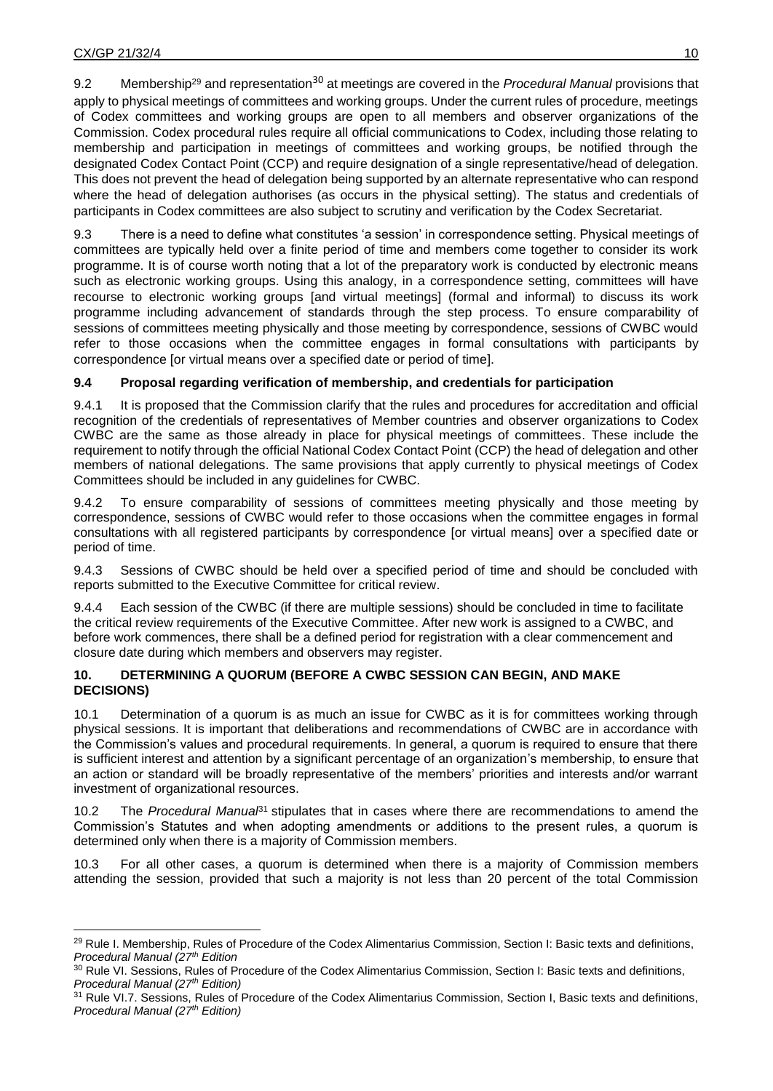9.2 Membership<sup>29</sup> and representation<sup>30</sup> at meetings are covered in the *Procedural Manual* provisions that apply to physical meetings of committees and working groups. Under the current rules of procedure, meetings of Codex committees and working groups are open to all members and observer organizations of the Commission. Codex procedural rules require all official communications to Codex, including those relating to membership and participation in meetings of committees and working groups, be notified through the designated Codex Contact Point (CCP) and require designation of a single representative/head of delegation. This does not prevent the head of delegation being supported by an alternate representative who can respond where the head of delegation authorises (as occurs in the physical setting). The status and credentials of participants in Codex committees are also subject to scrutiny and verification by the Codex Secretariat.

9.3 There is a need to define what constitutes 'a session' in correspondence setting. Physical meetings of committees are typically held over a finite period of time and members come together to consider its work programme. It is of course worth noting that a lot of the preparatory work is conducted by electronic means such as electronic working groups. Using this analogy, in a correspondence setting, committees will have recourse to electronic working groups [and virtual meetings] (formal and informal) to discuss its work programme including advancement of standards through the step process. To ensure comparability of sessions of committees meeting physically and those meeting by correspondence, sessions of CWBC would refer to those occasions when the committee engages in formal consultations with participants by correspondence [or virtual means over a specified date or period of time].

## **9.4 Proposal regarding verification of membership, and credentials for participation**

9.4.1 It is proposed that the Commission clarify that the rules and procedures for accreditation and official recognition of the credentials of representatives of Member countries and observer organizations to Codex CWBC are the same as those already in place for physical meetings of committees. These include the requirement to notify through the official National Codex Contact Point (CCP) the head of delegation and other members of national delegations. The same provisions that apply currently to physical meetings of Codex Committees should be included in any guidelines for CWBC.

9.4.2 To ensure comparability of sessions of committees meeting physically and those meeting by correspondence, sessions of CWBC would refer to those occasions when the committee engages in formal consultations with all registered participants by correspondence [or virtual means] over a specified date or period of time.

9.4.3 Sessions of CWBC should be held over a specified period of time and should be concluded with reports submitted to the Executive Committee for critical review.

9.4.4 Each session of the CWBC (if there are multiple sessions) should be concluded in time to facilitate the critical review requirements of the Executive Committee. After new work is assigned to a CWBC, and before work commences, there shall be a defined period for registration with a clear commencement and closure date during which members and observers may register.

### **10. DETERMINING A QUORUM (BEFORE A CWBC SESSION CAN BEGIN, AND MAKE DECISIONS)**

10.1 Determination of a quorum is as much an issue for CWBC as it is for committees working through physical sessions. It is important that deliberations and recommendations of CWBC are in accordance with the Commission's values and procedural requirements. In general, a quorum is required to ensure that there is sufficient interest and attention by a significant percentage of an organization's membership, to ensure that an action or standard will be broadly representative of the members' priorities and interests and/or warrant investment of organizational resources.

10.2 The *Procedural Manual*<sup>31</sup> stipulates that in cases where there are recommendations to amend the Commission's Statutes and when adopting amendments or additions to the present rules, a quorum is determined only when there is a majority of Commission members.

10.3 For all other cases, a quorum is determined when there is a majority of Commission members attending the session, provided that such a majority is not less than 20 percent of the total Commission

 $\ddot{\phantom{a}}$ <sup>29</sup> Rule I. Membership, Rules of Procedure of the Codex Alimentarius Commission, Section I: Basic texts and definitions, *Procedural Manual (27th Edition*

<sup>30</sup> Rule VI. Sessions, Rules of Procedure of the Codex Alimentarius Commission, Section I: Basic texts and definitions, *Procedural Manual (27th Edition)* 

<sup>31</sup> Rule VI.7. Sessions, Rules of Procedure of the Codex Alimentarius Commission, Section I, Basic texts and definitions, *Procedural Manual (27th Edition)*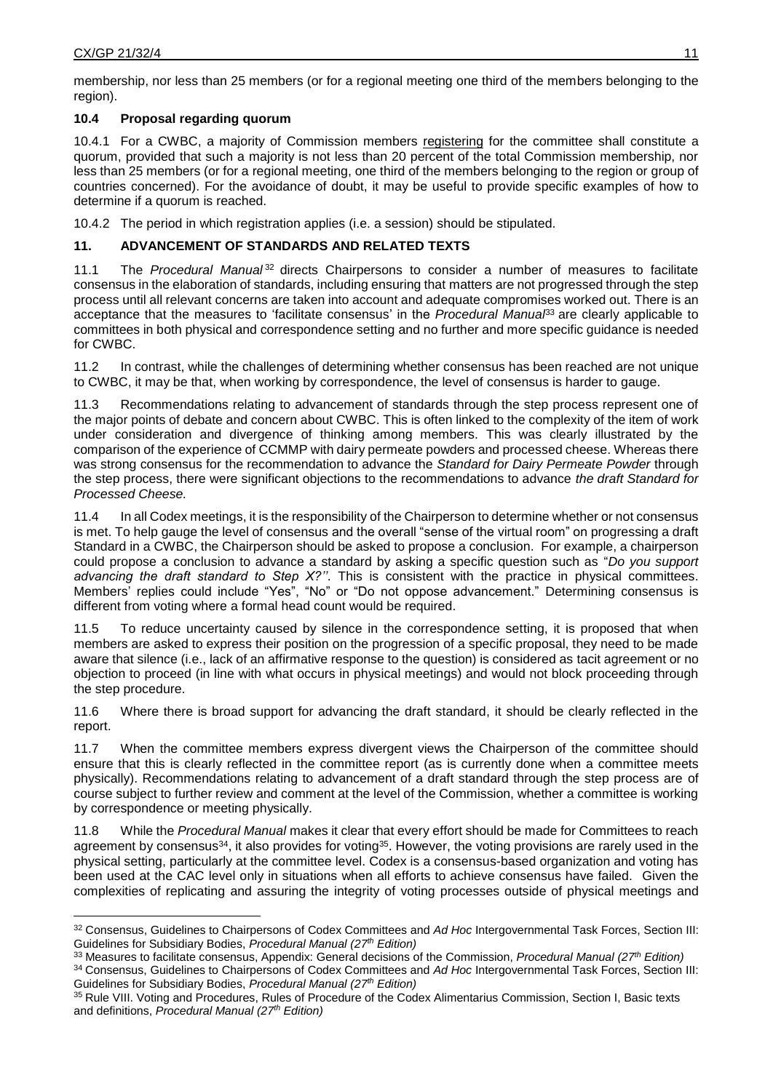$\overline{a}$ 

membership, nor less than 25 members (or for a regional meeting one third of the members belonging to the region).

## **10.4 Proposal regarding quorum**

10.4.1 For a CWBC, a majority of Commission members registering for the committee shall constitute a quorum, provided that such a majority is not less than 20 percent of the total Commission membership, nor less than 25 members (or for a regional meeting, one third of the members belonging to the region or group of countries concerned). For the avoidance of doubt, it may be useful to provide specific examples of how to determine if a quorum is reached.

10.4.2 The period in which registration applies (i.e. a session) should be stipulated.

## **11. ADVANCEMENT OF STANDARDS AND RELATED TEXTS**

11.1 The *Procedural Manual* <sup>32</sup> directs Chairpersons to consider a number of measures to facilitate consensus in the elaboration of standards, including ensuring that matters are not progressed through the step process until all relevant concerns are taken into account and adequate compromises worked out. There is an acceptance that the measures to 'facilitate consensus' in the *Procedural Manual*<sup>33</sup> are clearly applicable to committees in both physical and correspondence setting and no further and more specific guidance is needed for CWBC.

11.2 In contrast, while the challenges of determining whether consensus has been reached are not unique to CWBC, it may be that, when working by correspondence, the level of consensus is harder to gauge.

11.3 Recommendations relating to advancement of standards through the step process represent one of the major points of debate and concern about CWBC. This is often linked to the complexity of the item of work under consideration and divergence of thinking among members. This was clearly illustrated by the comparison of the experience of CCMMP with dairy permeate powders and processed cheese. Whereas there was strong consensus for the recommendation to advance the *Standard for Dairy Permeate Powder* through the step process, there were significant objections to the recommendations to advance *the draft Standard for Processed Cheese.*

11.4 In all Codex meetings, it is the responsibility of the Chairperson to determine whether or not consensus is met. To help gauge the level of consensus and the overall "sense of the virtual room" on progressing a draft Standard in a CWBC, the Chairperson should be asked to propose a conclusion. For example, a chairperson could propose a conclusion to advance a standard by asking a specific question such as "*Do you support advancing the draft standard to Step X?''*. This is consistent with the practice in physical committees. Members' replies could include "Yes", "No" or "Do not oppose advancement." Determining consensus is different from voting where a formal head count would be required.

11.5 To reduce uncertainty caused by silence in the correspondence setting, it is proposed that when members are asked to express their position on the progression of a specific proposal, they need to be made aware that silence (i.e., lack of an affirmative response to the question) is considered as tacit agreement or no objection to proceed (in line with what occurs in physical meetings) and would not block proceeding through the step procedure.

11.6 Where there is broad support for advancing the draft standard, it should be clearly reflected in the report.

11.7 When the committee members express divergent views the Chairperson of the committee should ensure that this is clearly reflected in the committee report (as is currently done when a committee meets physically). Recommendations relating to advancement of a draft standard through the step process are of course subject to further review and comment at the level of the Commission, whether a committee is working by correspondence or meeting physically.

11.8 While the *Procedural Manual* makes it clear that every effort should be made for Committees to reach agreement by consensus<sup>34</sup>, it also provides for voting<sup>35</sup>. However, the voting provisions are rarely used in the physical setting, particularly at the committee level. Codex is a consensus-based organization and voting has been used at the CAC level only in situations when all efforts to achieve consensus have failed. Given the complexities of replicating and assuring the integrity of voting processes outside of physical meetings and

<sup>32</sup> Consensus, Guidelines to Chairpersons of Codex Committees and *Ad Hoc* Intergovernmental Task Forces, Section III: Guidelines for Subsidiary Bodies, *Procedural Manual (27th Edition)*

<sup>33</sup> Measures to facilitate consensus, Appendix: General decisions of the Commission, *Procedural Manual (27th Edition)*

<sup>34</sup> Consensus, Guidelines to Chairpersons of Codex Committees and *Ad Hoc* Intergovernmental Task Forces, Section III: Guidelines for Subsidiary Bodies, *Procedural Manual (27th Edition)*

<sup>35</sup> Rule VIII. Voting and Procedures, Rules of Procedure of the Codex Alimentarius Commission, Section I, Basic texts and definitions, *Procedural Manual (27th Edition)*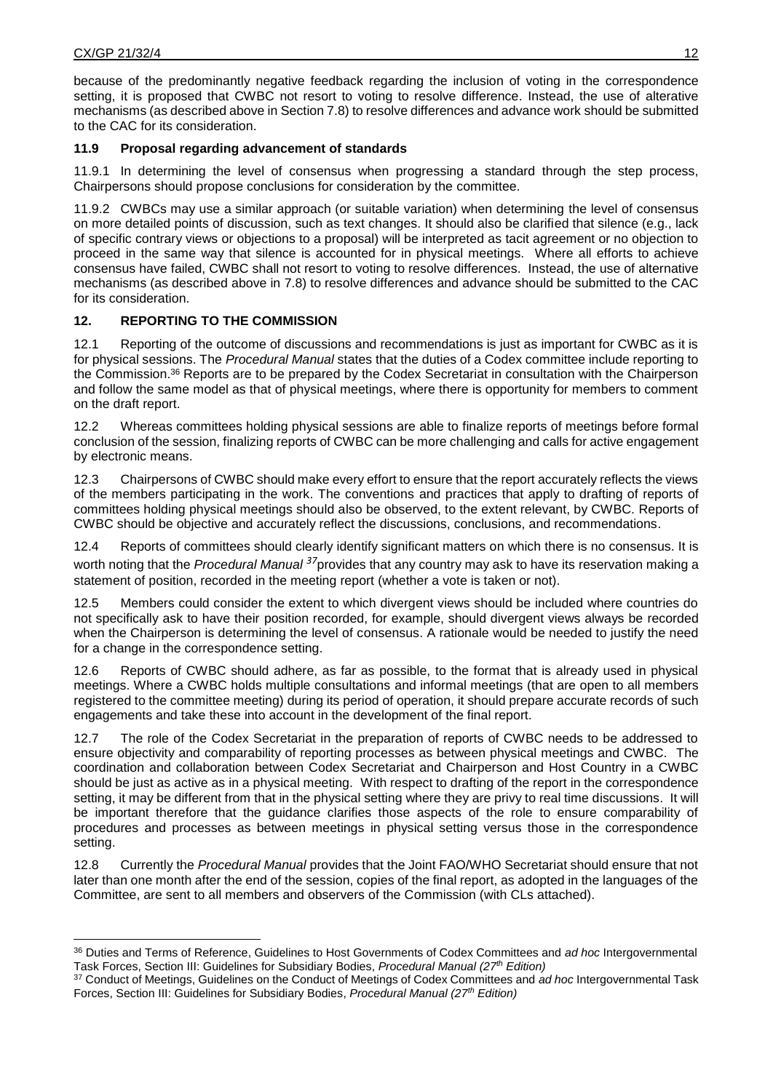because of the predominantly negative feedback regarding the inclusion of voting in the correspondence setting, it is proposed that CWBC not resort to voting to resolve difference. Instead, the use of alterative mechanisms (as described above in Section 7.8) to resolve differences and advance work should be submitted to the CAC for its consideration.

## **11.9 Proposal regarding advancement of standards**

11.9.1 In determining the level of consensus when progressing a standard through the step process, Chairpersons should propose conclusions for consideration by the committee.

11.9.2 CWBCs may use a similar approach (or suitable variation) when determining the level of consensus on more detailed points of discussion, such as text changes. It should also be clarified that silence (e.g., lack of specific contrary views or objections to a proposal) will be interpreted as tacit agreement or no objection to proceed in the same way that silence is accounted for in physical meetings. Where all efforts to achieve consensus have failed, CWBC shall not resort to voting to resolve differences. Instead, the use of alternative mechanisms (as described above in 7.8) to resolve differences and advance should be submitted to the CAC for its consideration.

## **12. REPORTING TO THE COMMISSION**

12.1 Reporting of the outcome of discussions and recommendations is just as important for CWBC as it is for physical sessions. The *Procedural Manual* states that the duties of a Codex committee include reporting to the Commission. <sup>36</sup> Reports are to be prepared by the Codex Secretariat in consultation with the Chairperson and follow the same model as that of physical meetings, where there is opportunity for members to comment on the draft report.

12.2 Whereas committees holding physical sessions are able to finalize reports of meetings before formal conclusion of the session, finalizing reports of CWBC can be more challenging and calls for active engagement by electronic means.

12.3 Chairpersons of CWBC should make every effort to ensure that the report accurately reflects the views of the members participating in the work. The conventions and practices that apply to drafting of reports of committees holding physical meetings should also be observed, to the extent relevant, by CWBC. Reports of CWBC should be objective and accurately reflect the discussions, conclusions, and recommendations.

12.4 Reports of committees should clearly identify significant matters on which there is no consensus. It is worth noting that the *Procedural Manual <sup>37</sup>*provides that any country may ask to have its reservation making a statement of position, recorded in the meeting report (whether a vote is taken or not).

12.5 Members could consider the extent to which divergent views should be included where countries do not specifically ask to have their position recorded, for example, should divergent views always be recorded when the Chairperson is determining the level of consensus. A rationale would be needed to justify the need for a change in the correspondence setting.

12.6 Reports of CWBC should adhere, as far as possible, to the format that is already used in physical meetings. Where a CWBC holds multiple consultations and informal meetings (that are open to all members registered to the committee meeting) during its period of operation, it should prepare accurate records of such engagements and take these into account in the development of the final report.

12.7 The role of the Codex Secretariat in the preparation of reports of CWBC needs to be addressed to ensure objectivity and comparability of reporting processes as between physical meetings and CWBC. The coordination and collaboration between Codex Secretariat and Chairperson and Host Country in a CWBC should be just as active as in a physical meeting. With respect to drafting of the report in the correspondence setting, it may be different from that in the physical setting where they are privy to real time discussions. It will be important therefore that the guidance clarifies those aspects of the role to ensure comparability of procedures and processes as between meetings in physical setting versus those in the correspondence setting.

12.8 Currently the *Procedural Manual* provides that the Joint FAO/WHO Secretariat should ensure that not later than one month after the end of the session, copies of the final report, as adopted in the languages of the Committee, are sent to all members and observers of the Commission (with CLs attached).

 $\overline{a}$ <sup>36</sup> Duties and Terms of Reference, Guidelines to Host Governments of Codex Committees and *ad hoc* Intergovernmental Task Forces, Section III: Guidelines for Subsidiary Bodies, *Procedural Manual (27th Edition)*

<sup>37</sup> Conduct of Meetings, Guidelines on the Conduct of Meetings of Codex Committees and *ad hoc* Intergovernmental Task Forces, Section III: Guidelines for Subsidiary Bodies, *Procedural Manual (27th Edition)*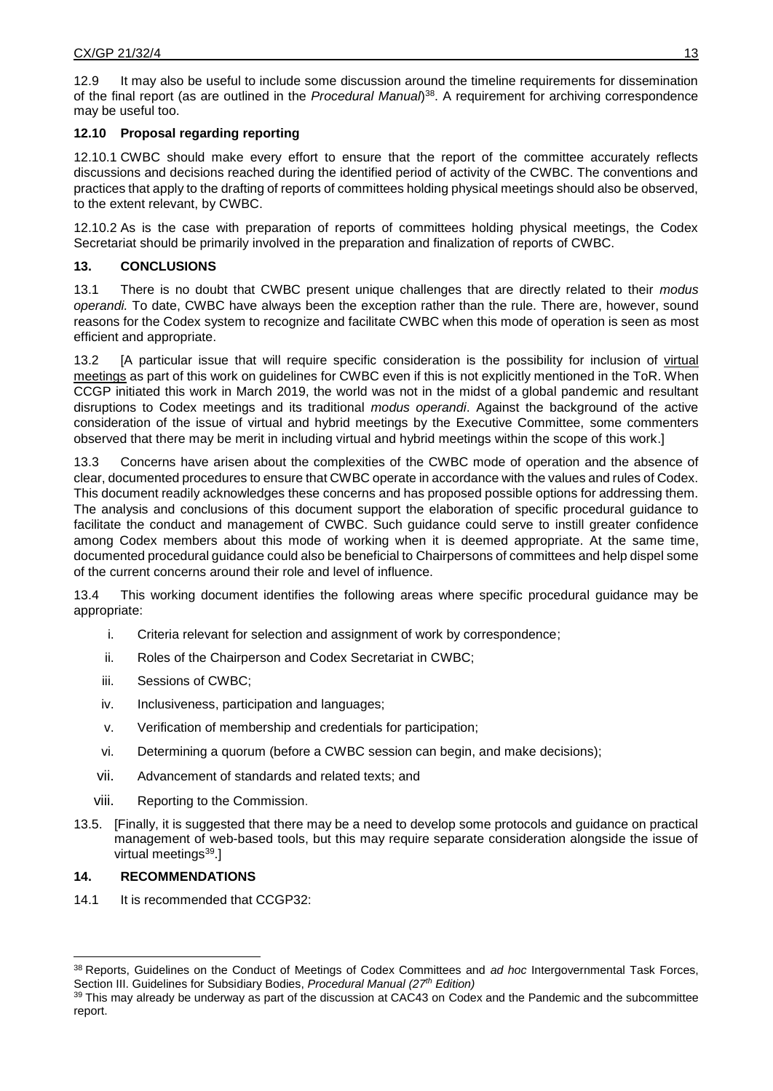12.9 It may also be useful to include some discussion around the timeline requirements for dissemination of the final report (as are outlined in the *Procedural Manual*) <sup>38</sup>. A requirement for archiving correspondence may be useful too.

# **12.10 Proposal regarding reporting**

12.10.1 CWBC should make every effort to ensure that the report of the committee accurately reflects discussions and decisions reached during the identified period of activity of the CWBC. The conventions and practices that apply to the drafting of reports of committees holding physical meetings should also be observed, to the extent relevant, by CWBC.

12.10.2 As is the case with preparation of reports of committees holding physical meetings, the Codex Secretariat should be primarily involved in the preparation and finalization of reports of CWBC.

# **13. CONCLUSIONS**

13.1 There is no doubt that CWBC present unique challenges that are directly related to their *modus operandi.* To date, CWBC have always been the exception rather than the rule. There are, however, sound reasons for the Codex system to recognize and facilitate CWBC when this mode of operation is seen as most efficient and appropriate.

13.2 [A particular issue that will require specific consideration is the possibility for inclusion of virtual meetings as part of this work on guidelines for CWBC even if this is not explicitly mentioned in the ToR. When CCGP initiated this work in March 2019, the world was not in the midst of a global pandemic and resultant disruptions to Codex meetings and its traditional *modus operandi*. Against the background of the active consideration of the issue of virtual and hybrid meetings by the Executive Committee, some commenters observed that there may be merit in including virtual and hybrid meetings within the scope of this work.]

13.3 Concerns have arisen about the complexities of the CWBC mode of operation and the absence of clear, documented procedures to ensure that CWBC operate in accordance with the values and rules of Codex. This document readily acknowledges these concerns and has proposed possible options for addressing them. The analysis and conclusions of this document support the elaboration of specific procedural guidance to facilitate the conduct and management of CWBC. Such guidance could serve to instill greater confidence among Codex members about this mode of working when it is deemed appropriate. At the same time, documented procedural guidance could also be beneficial to Chairpersons of committees and help dispel some of the current concerns around their role and level of influence.

13.4 This working document identifies the following areas where specific procedural guidance may be appropriate:

- i. Criteria relevant for selection and assignment of work by correspondence;
- ii. Roles of the Chairperson and Codex Secretariat in CWBC;
- iii. Sessions of CWBC;
- iv. Inclusiveness, participation and languages;
- v. Verification of membership and credentials for participation;
- vi. Determining a quorum (before a CWBC session can begin, and make decisions);
- vii. Advancement of standards and related texts; and
- viii. Reporting to the Commission.
- 13.5. [Finally, it is suggested that there may be a need to develop some protocols and guidance on practical management of web-based tools, but this may require separate consideration alongside the issue of virtual meetings<sup>39</sup>.]

# **14. RECOMMENDATIONS**

 $\ddot{\phantom{a}}$ 

14.1 It is recommended that CCGP32:

<sup>38</sup> Reports, Guidelines on the Conduct of Meetings of Codex Committees and *ad hoc* Intergovernmental Task Forces, Section III. Guidelines for Subsidiary Bodies, *Procedural Manual (27th Edition)*

<sup>&</sup>lt;sup>39</sup> This may already be underway as part of the discussion at CAC43 on Codex and the Pandemic and the subcommittee report.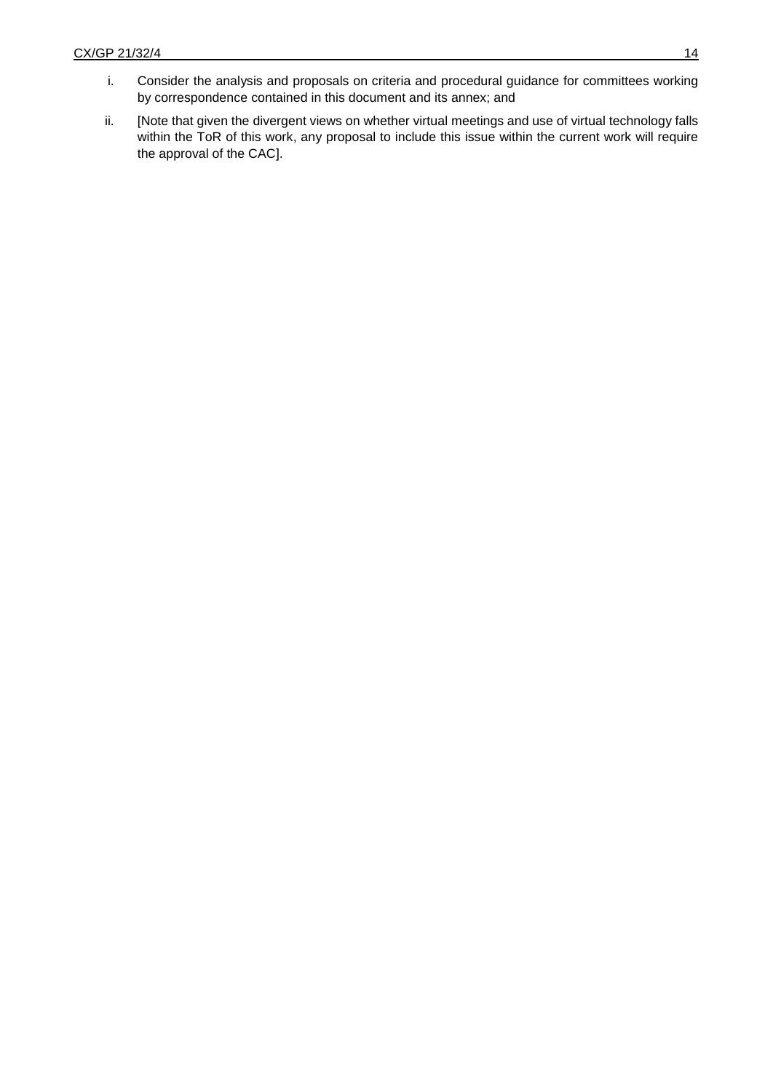- i. Consider the analysis and proposals on criteria and procedural guidance for committees working by correspondence contained in this document and its annex; and
- ii. [Note that given the divergent views on whether virtual meetings and use of virtual technology falls within the ToR of this work, any proposal to include this issue within the current work will require the approval of the CAC].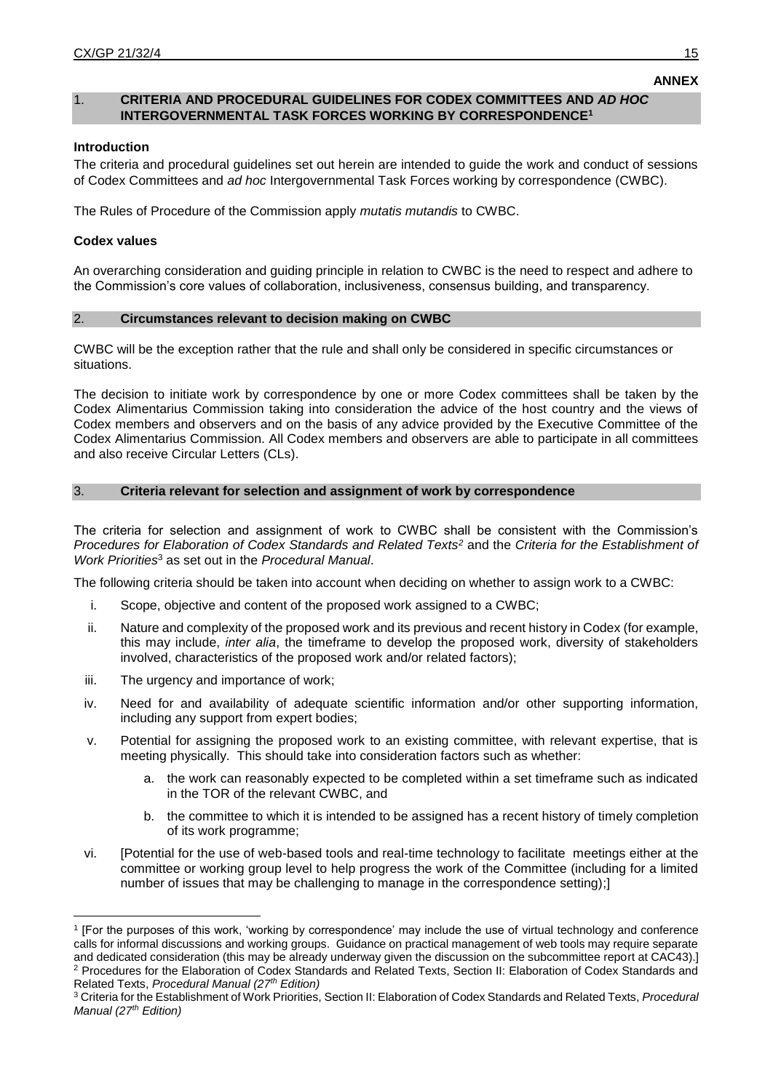## 1. **CRITERIA AND PROCEDURAL GUIDELINES FOR CODEX COMMITTEES AND** *AD HOC* **INTERGOVERNMENTAL TASK FORCES WORKING BY CORRESPONDENCE<sup>1</sup>**

## **Introduction**

The criteria and procedural guidelines set out herein are intended to guide the work and conduct of sessions of Codex Committees and *ad hoc* Intergovernmental Task Forces working by correspondence (CWBC).

The Rules of Procedure of the Commission apply *mutatis mutandis* to CWBC.

### **Codex values**

 $\overline{a}$ 

An overarching consideration and guiding principle in relation to CWBC is the need to respect and adhere to the Commission's core values of collaboration, inclusiveness, consensus building, and transparency.

### 2. **Circumstances relevant to decision making on CWBC**

CWBC will be the exception rather that the rule and shall only be considered in specific circumstances or situations.

The decision to initiate work by correspondence by one or more Codex committees shall be taken by the Codex Alimentarius Commission taking into consideration the advice of the host country and the views of Codex members and observers and on the basis of any advice provided by the Executive Committee of the Codex Alimentarius Commission. All Codex members and observers are able to participate in all committees and also receive Circular Letters (CLs).

#### 3. **Criteria relevant for selection and assignment of work by correspondence**

The criteria for selection and assignment of work to CWBC shall be consistent with the Commission's *Procedures for Elaboration of Codex Standards and Related Texts<sup>2</sup>* and the *Criteria for the Establishment of Work Priorities*<sup>3</sup> as set out in the *Procedural Manual*.

The following criteria should be taken into account when deciding on whether to assign work to a CWBC:

- i. Scope, objective and content of the proposed work assigned to a CWBC;
- ii. Nature and complexity of the proposed work and its previous and recent history in Codex (for example, this may include, *inter alia*, the timeframe to develop the proposed work, diversity of stakeholders involved, characteristics of the proposed work and/or related factors);
- iii. The urgency and importance of work;
- iv. Need for and availability of adequate scientific information and/or other supporting information, including any support from expert bodies;
- v. Potential for assigning the proposed work to an existing committee, with relevant expertise, that is meeting physically. This should take into consideration factors such as whether:
	- a. the work can reasonably expected to be completed within a set timeframe such as indicated in the TOR of the relevant CWBC, and
	- b. the committee to which it is intended to be assigned has a recent history of timely completion of its work programme;
- vi. [Potential for the use of web-based tools and real-time technology to facilitate meetings either at the committee or working group level to help progress the work of the Committee (including for a limited number of issues that may be challenging to manage in the correspondence setting);]

**ANNEX**

<sup>1</sup> [For the purposes of this work, 'working by correspondence' may include the use of virtual technology and conference calls for informal discussions and working groups. Guidance on practical management of web tools may require separate and dedicated consideration (this may be already underway given the discussion on the subcommittee report at CAC43).] <sup>2</sup> Procedures for the Elaboration of Codex Standards and Related Texts, Section II: Elaboration of Codex Standards and Related Texts, *Procedural Manual (27th Edition)*

<sup>3</sup> Criteria for the Establishment of Work Priorities, Section II: Elaboration of Codex Standards and Related Texts, *Procedural Manual (27th Edition)*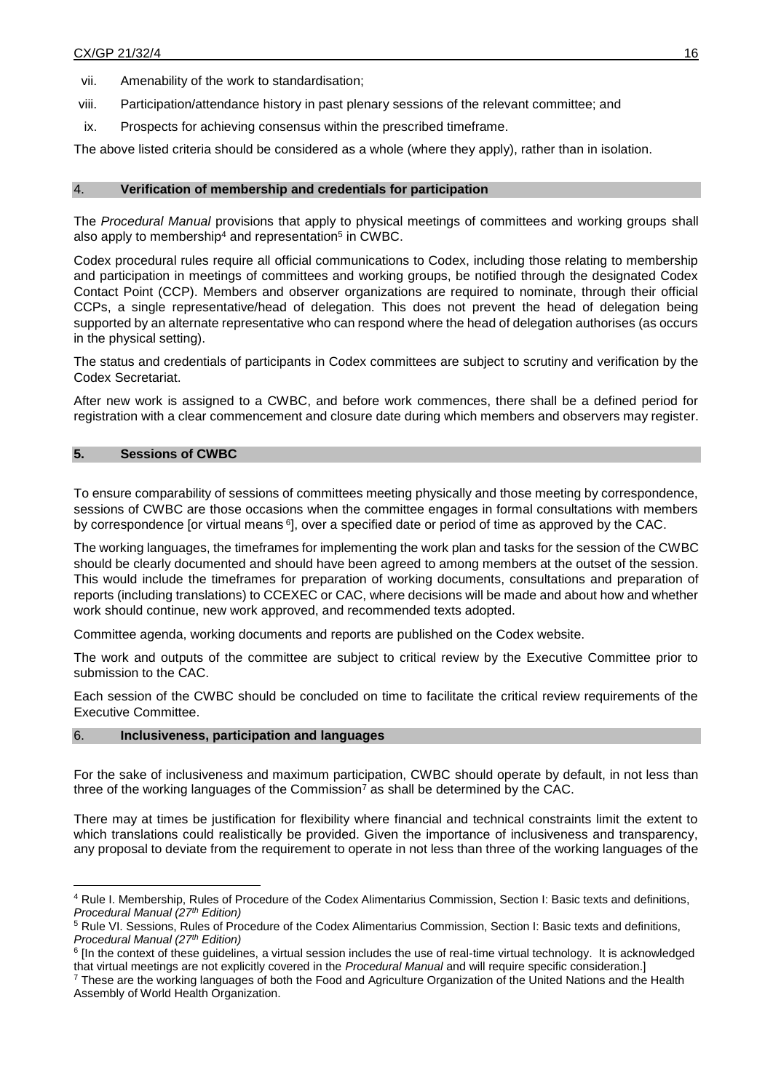vii. Amenability of the work to standardisation;

- viii. Participation/attendance history in past plenary sessions of the relevant committee; and
- ix. Prospects for achieving consensus within the prescribed timeframe.

The above listed criteria should be considered as a whole (where they apply), rather than in isolation.

#### 4. **Verification of membership and credentials for participation**

The *Procedural Manual* provisions that apply to physical meetings of committees and working groups shall also apply to membership<sup>4</sup> and representation<sup>5</sup> in CWBC.

Codex procedural rules require all official communications to Codex, including those relating to membership and participation in meetings of committees and working groups, be notified through the designated Codex Contact Point (CCP). Members and observer organizations are required to nominate, through their official CCPs, a single representative/head of delegation. This does not prevent the head of delegation being supported by an alternate representative who can respond where the head of delegation authorises (as occurs in the physical setting).

The status and credentials of participants in Codex committees are subject to scrutiny and verification by the Codex Secretariat.

After new work is assigned to a CWBC, and before work commences, there shall be a defined period for registration with a clear commencement and closure date during which members and observers may register.

#### **5. Sessions of CWBC**

 $\ddot{\phantom{a}}$ 

To ensure comparability of sessions of committees meeting physically and those meeting by correspondence, sessions of CWBC are those occasions when the committee engages in formal consultations with members by correspondence [or virtual means <sup>6</sup>], over a specified date or period of time as approved by the CAC.

The working languages, the timeframes for implementing the work plan and tasks for the session of the CWBC should be clearly documented and should have been agreed to among members at the outset of the session. This would include the timeframes for preparation of working documents, consultations and preparation of reports (including translations) to CCEXEC or CAC, where decisions will be made and about how and whether work should continue, new work approved, and recommended texts adopted.

Committee agenda, working documents and reports are published on the Codex website.

The work and outputs of the committee are subject to critical review by the Executive Committee prior to submission to the CAC.

Each session of the CWBC should be concluded on time to facilitate the critical review requirements of the Executive Committee.

#### 6. **Inclusiveness, participation and languages**

For the sake of inclusiveness and maximum participation, CWBC should operate by default, in not less than three of the working languages of the Commission<sup>7</sup> as shall be determined by the CAC.

There may at times be justification for flexibility where financial and technical constraints limit the extent to which translations could realistically be provided. Given the importance of inclusiveness and transparency, any proposal to deviate from the requirement to operate in not less than three of the working languages of the

<sup>4</sup> Rule I. Membership, Rules of Procedure of the Codex Alimentarius Commission, Section I: Basic texts and definitions, *Procedural Manual (27th Edition)*

<sup>5</sup> Rule VI. Sessions, Rules of Procedure of the Codex Alimentarius Commission, Section I: Basic texts and definitions, *Procedural Manual (27th Edition)* 

<sup>&</sup>lt;sup>6</sup> [In the context of these guidelines, a virtual session includes the use of real-time virtual technology. It is acknowledged that virtual meetings are not explicitly covered in the *Procedural Manual* and will require specific consideration.]

<sup>7</sup> These are the working languages of both the Food and Agriculture Organization of the United Nations and the Health Assembly of World Health Organization.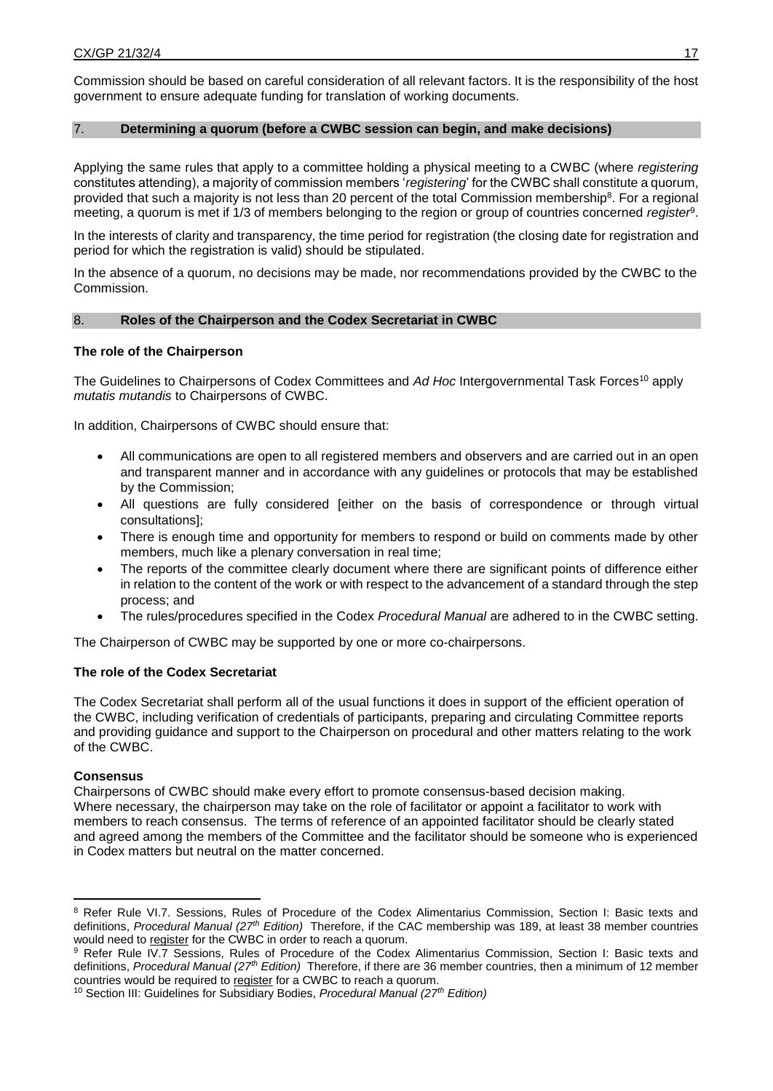Commission should be based on careful consideration of all relevant factors. It is the responsibility of the host government to ensure adequate funding for translation of working documents.

### 7. **Determining a quorum (before a CWBC session can begin, and make decisions)**

Applying the same rules that apply to a committee holding a physical meeting to a CWBC (where *registering* constitutes attending), a majority of commission members '*registering*' for the CWBC shall constitute a quorum, provided that such a majority is not less than 20 percent of the total Commission membership<sup>8</sup>. For a regional meeting, a quorum is met if 1/3 of members belonging to the region or group of countries concerned *register*<sup>9</sup> .

In the interests of clarity and transparency, the time period for registration (the closing date for registration and period for which the registration is valid) should be stipulated.

In the absence of a quorum, no decisions may be made, nor recommendations provided by the CWBC to the Commission.

### 8. **Roles of the Chairperson and the Codex Secretariat in CWBC**

### **The role of the Chairperson**

The Guidelines to Chairpersons of Codex Committees and *Ad Hoc* Intergovernmental Task Forces<sup>10</sup> apply *mutatis mutandis* to Chairpersons of CWBC.

In addition, Chairpersons of CWBC should ensure that:

- All communications are open to all registered members and observers and are carried out in an open and transparent manner and in accordance with any guidelines or protocols that may be established by the Commission;
- All questions are fully considered [either on the basis of correspondence or through virtual consultations];
- There is enough time and opportunity for members to respond or build on comments made by other members, much like a plenary conversation in real time;
- The reports of the committee clearly document where there are significant points of difference either in relation to the content of the work or with respect to the advancement of a standard through the step process; and
- The rules/procedures specified in the Codex *Procedural Manual* are adhered to in the CWBC setting.

The Chairperson of CWBC may be supported by one or more co-chairpersons.

## **The role of the Codex Secretariat**

The Codex Secretariat shall perform all of the usual functions it does in support of the efficient operation of the CWBC, including verification of credentials of participants, preparing and circulating Committee reports and providing guidance and support to the Chairperson on procedural and other matters relating to the work of the CWBC.

### **Consensus**

Chairpersons of CWBC should make every effort to promote consensus-based decision making. Where necessary, the chairperson may take on the role of facilitator or appoint a facilitator to work with members to reach consensus. The terms of reference of an appointed facilitator should be clearly stated and agreed among the members of the Committee and the facilitator should be someone who is experienced in Codex matters but neutral on the matter concerned.

 $\overline{a}$ <sup>8</sup> Refer Rule VI.7. Sessions, Rules of Procedure of the Codex Alimentarius Commission, Section I: Basic texts and definitions, *Procedural Manual (27th Edition)* Therefore, if the CAC membership was 189, at least 38 member countries would need to register for the CWBC in order to reach a quorum.

<sup>9</sup> Refer Rule IV.7 Sessions, Rules of Procedure of the Codex Alimentarius Commission, Section I: Basic texts and definitions, *Procedural Manual (27th Edition)* Therefore, if there are 36 member countries, then a minimum of 12 member countries would be required to register for a CWBC to reach a quorum.

<sup>10</sup> Section III: Guidelines for Subsidiary Bodies, *Procedural Manual (27th Edition)*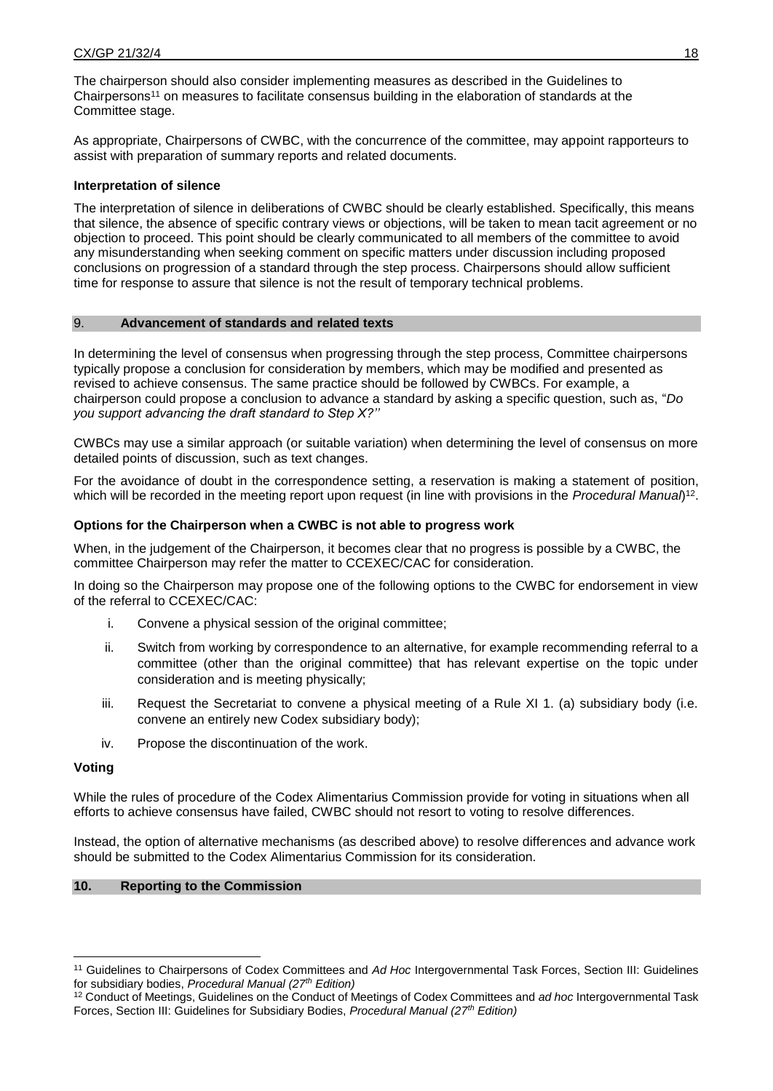The chairperson should also consider implementing measures as described in the Guidelines to Chairpersons<sup>11</sup> on measures to facilitate consensus building in the elaboration of standards at the Committee stage.

As appropriate, Chairpersons of CWBC, with the concurrence of the committee, may appoint rapporteurs to assist with preparation of summary reports and related documents.

### **Interpretation of silence**

The interpretation of silence in deliberations of CWBC should be clearly established. Specifically, this means that silence, the absence of specific contrary views or objections, will be taken to mean tacit agreement or no objection to proceed. This point should be clearly communicated to all members of the committee to avoid any misunderstanding when seeking comment on specific matters under discussion including proposed conclusions on progression of a standard through the step process. Chairpersons should allow sufficient time for response to assure that silence is not the result of temporary technical problems.

### 9. **Advancement of standards and related texts**

In determining the level of consensus when progressing through the step process, Committee chairpersons typically propose a conclusion for consideration by members, which may be modified and presented as revised to achieve consensus. The same practice should be followed by CWBCs. For example, a chairperson could propose a conclusion to advance a standard by asking a specific question, such as, "*Do you support advancing the draft standard to Step X?''* 

CWBCs may use a similar approach (or suitable variation) when determining the level of consensus on more detailed points of discussion, such as text changes.

For the avoidance of doubt in the correspondence setting, a reservation is making a statement of position, which will be recorded in the meeting report upon request (in line with provisions in the *Procedural Manual*)<sup>12</sup>.

### **Options for the Chairperson when a CWBC is not able to progress work**

When, in the judgement of the Chairperson, it becomes clear that no progress is possible by a CWBC, the committee Chairperson may refer the matter to CCEXEC/CAC for consideration.

In doing so the Chairperson may propose one of the following options to the CWBC for endorsement in view of the referral to CCEXEC/CAC:

- i. Convene a physical session of the original committee;
- ii. Switch from working by correspondence to an alternative, for example recommending referral to a committee (other than the original committee) that has relevant expertise on the topic under consideration and is meeting physically;
- iii. Request the Secretariat to convene a physical meeting of a Rule XI 1. (a) subsidiary body (i.e. convene an entirely new Codex subsidiary body);
- iv. Propose the discontinuation of the work.

#### **Voting**

 $\ddot{\phantom{a}}$ 

While the rules of procedure of the Codex Alimentarius Commission provide for voting in situations when all efforts to achieve consensus have failed, CWBC should not resort to voting to resolve differences.

Instead, the option of alternative mechanisms (as described above) to resolve differences and advance work should be submitted to the Codex Alimentarius Commission for its consideration.

#### **10. Reporting to the Commission**

<sup>11</sup> Guidelines to Chairpersons of Codex Committees and *Ad Hoc* Intergovernmental Task Forces, Section III: Guidelines for subsidiary bodies, *Procedural Manual (27th Edition)* 

<sup>12</sup> Conduct of Meetings, Guidelines on the Conduct of Meetings of Codex Committees and *ad hoc* Intergovernmental Task Forces, Section III: Guidelines for Subsidiary Bodies, *Procedural Manual (27th Edition)*